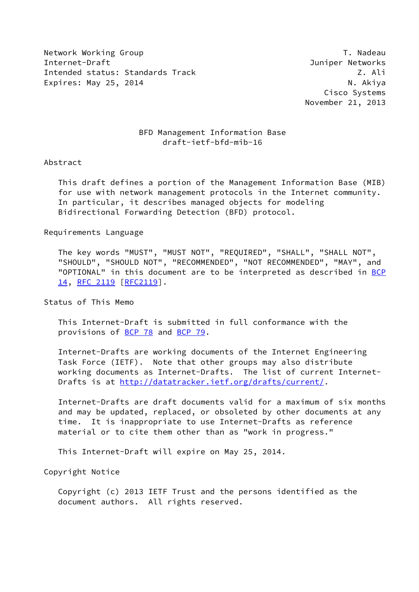Network Working Group T. Nadeau Network Alexander Management of the U.S. of the U.S. of the U.S. of the U.S. o Internet-Draft Juniper Networks Intended status: Standards Track Z. Ali Expires: May 25, 2014 **N. Accompanying the Contract Contract Contract Contract Contract Contract Contract Contract Contract Contract Contract Contract Contract Contract Contract Contract Contract Contract Contract Contract** 

 Cisco Systems November 21, 2013

## BFD Management Information Base draft-ietf-bfd-mib-16

#### Abstract

 This draft defines a portion of the Management Information Base (MIB) for use with network management protocols in the Internet community. In particular, it describes managed objects for modeling Bidirectional Forwarding Detection (BFD) protocol.

#### Requirements Language

 The key words "MUST", "MUST NOT", "REQUIRED", "SHALL", "SHALL NOT", "SHOULD", "SHOULD NOT", "RECOMMENDED", "NOT RECOMMENDED", "MAY", and "OPTIONAL" in this document are to be interpreted as described in [BCP](https://datatracker.ietf.org/doc/pdf/bcp14) [14](https://datatracker.ietf.org/doc/pdf/bcp14), [RFC 2119 \[RFC2119](https://datatracker.ietf.org/doc/pdf/rfc2119)].

Status of This Memo

 This Internet-Draft is submitted in full conformance with the provisions of [BCP 78](https://datatracker.ietf.org/doc/pdf/bcp78) and [BCP 79](https://datatracker.ietf.org/doc/pdf/bcp79).

 Internet-Drafts are working documents of the Internet Engineering Task Force (IETF). Note that other groups may also distribute working documents as Internet-Drafts. The list of current Internet Drafts is at<http://datatracker.ietf.org/drafts/current/>.

 Internet-Drafts are draft documents valid for a maximum of six months and may be updated, replaced, or obsoleted by other documents at any time. It is inappropriate to use Internet-Drafts as reference material or to cite them other than as "work in progress."

This Internet-Draft will expire on May 25, 2014.

Copyright Notice

 Copyright (c) 2013 IETF Trust and the persons identified as the document authors. All rights reserved.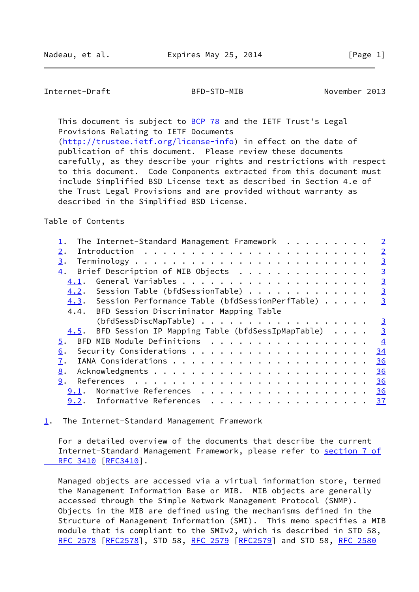<span id="page-1-1"></span>This document is subject to [BCP 78](https://datatracker.ietf.org/doc/pdf/bcp78) and the IETF Trust's Legal Provisions Relating to IETF Documents [\(http://trustee.ietf.org/license-info](http://trustee.ietf.org/license-info)) in effect on the date of publication of this document. Please review these documents carefully, as they describe your rights and restrictions with respect to this document. Code Components extracted from this document must

 include Simplified BSD License text as described in Section 4.e of the Trust Legal Provisions and are provided without warranty as described in the Simplified BSD License.

Table of Contents

| The Internet-Standard Management Framework $\dots \dots \dots$ |  |  | $\overline{2}$  |
|----------------------------------------------------------------|--|--|-----------------|
| $2$ .                                                          |  |  | $\overline{2}$  |
| 3.                                                             |  |  | $\overline{3}$  |
| Brief Description of MIB Objects<br>4.                         |  |  | $\overline{3}$  |
| 4.1.                                                           |  |  | $\overline{3}$  |
| 4.2. Session Table (bfdSessionTable)                           |  |  | $\overline{3}$  |
| 4.3. Session Performance Table (bfdSessionPerfTable)           |  |  | $\overline{3}$  |
| 4.4. BFD Session Discriminator Mapping Table                   |  |  |                 |
| (bfdSessDiscMapTable)                                          |  |  | $\frac{3}{2}$   |
| BFD Session IP Mapping Table (bfdSessIpMapTable)<br>4.5.       |  |  | $\overline{3}$  |
| BFD MIB Module Definitions<br>5.                               |  |  | $\overline{4}$  |
| 6.                                                             |  |  | 34              |
| 7.                                                             |  |  | 36              |
| 8.                                                             |  |  | 36              |
| 9.                                                             |  |  | 36              |
| Normative References<br>9.1.                                   |  |  | 36              |
| 9.2. Informative References                                    |  |  | $\overline{37}$ |

<span id="page-1-0"></span>[1](#page-1-0). The Internet-Standard Management Framework

 For a detailed overview of the documents that describe the current Internet-Standard Management Framework, please refer to [section](https://datatracker.ietf.org/doc/pdf/rfc3410#section-7) 7 of RFC 3410 [\[RFC3410](https://datatracker.ietf.org/doc/pdf/rfc3410)].

 Managed objects are accessed via a virtual information store, termed the Management Information Base or MIB. MIB objects are generally accessed through the Simple Network Management Protocol (SNMP). Objects in the MIB are defined using the mechanisms defined in the Structure of Management Information (SMI). This memo specifies a MIB module that is compliant to the SMIv2, which is described in STD 58, [RFC 2578](https://datatracker.ietf.org/doc/pdf/rfc2578) [\[RFC2578](https://datatracker.ietf.org/doc/pdf/rfc2578)], STD 58, [RFC 2579 \[RFC2579](https://datatracker.ietf.org/doc/pdf/rfc2579)] and STD 58, [RFC 2580](https://datatracker.ietf.org/doc/pdf/rfc2580)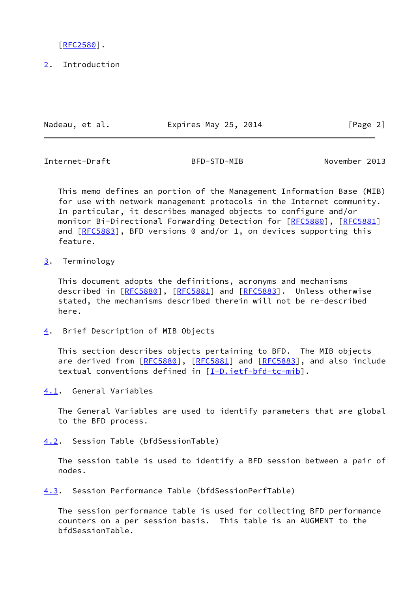[\[RFC2580](https://datatracker.ietf.org/doc/pdf/rfc2580)].

<span id="page-2-0"></span>[2](#page-2-0). Introduction

Nadeau, et al. **Expires May 25, 2014** [Page 2]

<span id="page-2-2"></span>Internet-Draft BFD-STD-MIB November 2013

 This memo defines an portion of the Management Information Base (MIB) for use with network management protocols in the Internet community. In particular, it describes managed objects to configure and/or monitor Bi-Directional Forwarding Detection for [\[RFC5880](https://datatracker.ietf.org/doc/pdf/rfc5880)], [[RFC5881\]](https://datatracker.ietf.org/doc/pdf/rfc5881) and  $[RECS883]$ , BFD versions 0 and/or 1, on devices supporting this feature.

<span id="page-2-1"></span>[3](#page-2-1). Terminology

 This document adopts the definitions, acronyms and mechanisms described in [\[RFC5880](https://datatracker.ietf.org/doc/pdf/rfc5880)], [\[RFC5881](https://datatracker.ietf.org/doc/pdf/rfc5881)] and [[RFC5883](https://datatracker.ietf.org/doc/pdf/rfc5883)]. Unless otherwise stated, the mechanisms described therein will not be re-described here.

<span id="page-2-3"></span>[4](#page-2-3). Brief Description of MIB Objects

 This section describes objects pertaining to BFD. The MIB objects are derived from [\[RFC5880](https://datatracker.ietf.org/doc/pdf/rfc5880)], [\[RFC5881](https://datatracker.ietf.org/doc/pdf/rfc5881)] and [[RFC5883](https://datatracker.ietf.org/doc/pdf/rfc5883)], and also include textual conventions defined in [\[I-D.ietf-bfd-tc-mib](#page-41-1)].

<span id="page-2-4"></span>[4.1](#page-2-4). General Variables

 The General Variables are used to identify parameters that are global to the BFD process.

<span id="page-2-5"></span>[4.2](#page-2-5). Session Table (bfdSessionTable)

 The session table is used to identify a BFD session between a pair of nodes.

<span id="page-2-6"></span>[4.3](#page-2-6). Session Performance Table (bfdSessionPerfTable)

 The session performance table is used for collecting BFD performance counters on a per session basis. This table is an AUGMENT to the bfdSessionTable.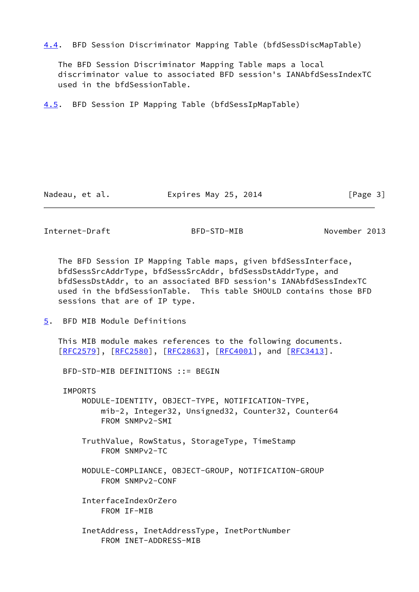<span id="page-3-3"></span>[4.4](#page-3-3). BFD Session Discriminator Mapping Table (bfdSessDiscMapTable)

 The BFD Session Discriminator Mapping Table maps a local discriminator value to associated BFD session's IANAbfdSessIndexTC used in the bfdSessionTable.

<span id="page-3-0"></span>[4.5](#page-3-0). BFD Session IP Mapping Table (bfdSessIpMapTable)

Nadeau, et al. **Expires May 25, 2014** [Page 3]

<span id="page-3-2"></span>Internet-Draft BFD-STD-MIB November 2013

 The BFD Session IP Mapping Table maps, given bfdSessInterface, bfdSessSrcAddrType, bfdSessSrcAddr, bfdSessDstAddrType, and bfdSessDstAddr, to an associated BFD session's IANAbfdSessIndexTC used in the bfdSessionTable. This table SHOULD contains those BFD sessions that are of IP type.

<span id="page-3-1"></span>[5](#page-3-1). BFD MIB Module Definitions

 This MIB module makes references to the following documents. [\[RFC2579](https://datatracker.ietf.org/doc/pdf/rfc2579)], [[RFC2580\]](https://datatracker.ietf.org/doc/pdf/rfc2580), [[RFC2863](https://datatracker.ietf.org/doc/pdf/rfc2863)], [\[RFC4001](https://datatracker.ietf.org/doc/pdf/rfc4001)], and [\[RFC3413](https://datatracker.ietf.org/doc/pdf/rfc3413)].

BFD-STD-MIB DEFINITIONS ::= BEGIN

IMPORTS

 MODULE-IDENTITY, OBJECT-TYPE, NOTIFICATION-TYPE, mib-2, Integer32, Unsigned32, Counter32, Counter64 FROM SNMPv2-SMI

 TruthValue, RowStatus, StorageType, TimeStamp FROM SNMPv2-TC

 MODULE-COMPLIANCE, OBJECT-GROUP, NOTIFICATION-GROUP FROM SNMPv2-CONF

 InterfaceIndexOrZero FROM IF-MIB

 InetAddress, InetAddressType, InetPortNumber FROM INET-ADDRESS-MIB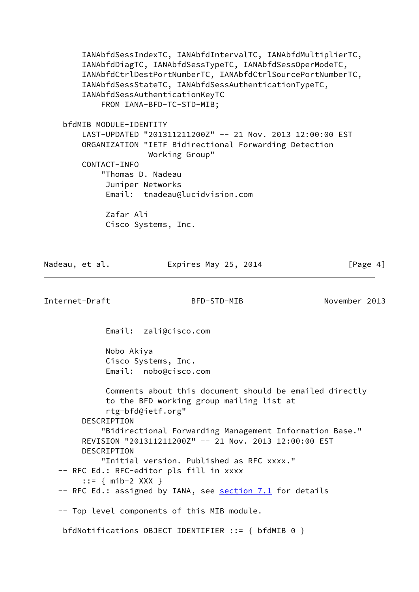IANAbfdSessIndexTC, IANAbfdIntervalTC, IANAbfdMultiplierTC, IANAbfdDiagTC, IANAbfdSessTypeTC, IANAbfdSessOperModeTC, IANAbfdCtrlDestPortNumberTC, IANAbfdCtrlSourcePortNumberTC, IANAbfdSessStateTC, IANAbfdSessAuthenticationTypeTC, IANAbfdSessAuthenticationKeyTC FROM IANA-BFD-TC-STD-MIB; bfdMIB MODULE-IDENTITY LAST-UPDATED "201311211200Z" -- 21 Nov. 2013 12:00:00 EST ORGANIZATION "IETF Bidirectional Forwarding Detection Working Group" CONTACT-INFO "Thomas D. Nadeau Juniper Networks Email: tnadeau@lucidvision.com Zafar Ali Cisco Systems, Inc.

| Nadeau, et al. | Expires May 25, 2014 | [Page 4] |
|----------------|----------------------|----------|
|                |                      |          |

Internet-Draft BFD-STD-MIB November 2013

Email: zali@cisco.com

 Nobo Akiya Cisco Systems, Inc. Email: nobo@cisco.com

 Comments about this document should be emailed directly to the BFD working group mailing list at rtg-bfd@ietf.org" DESCRIPTION "Bidirectional Forwarding Management Information Base." REVISION "201311211200Z" -- 21 Nov. 2013 12:00:00 EST DESCRIPTION "Initial version. Published as RFC xxxx." -- RFC Ed.: RFC-editor pls fill in xxxx ::= { mib-2 XXX } -- RFC Ed.: assigned by IANA, see section 7.1 for details -- Top level components of this MIB module.

bfdNotifications OBJECT IDENTIFIER ::= { bfdMIB 0 }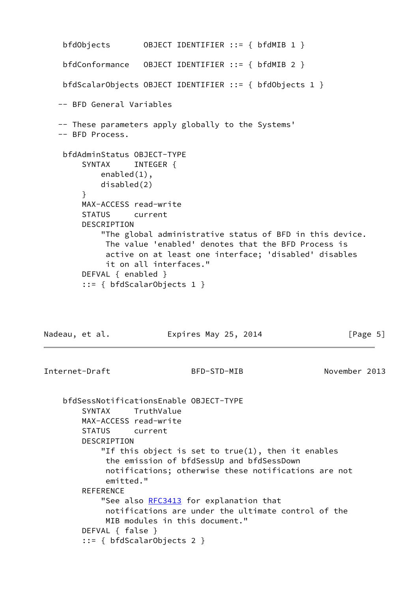```
 bfdObjects OBJECT IDENTIFIER ::= { bfdMIB 1 }
    bfdConformance OBJECT IDENTIFIER ::= { bfdMIB 2 }
    bfdScalarObjects OBJECT IDENTIFIER ::= { bfdObjects 1 }
   -- BFD General Variables
    -- These parameters apply globally to the Systems'
    -- BFD Process.
    bfdAdminStatus OBJECT-TYPE
       SYNTAX INTEGER {
            enabled(1),
            disabled(2)
        }
        MAX-ACCESS read-write
        STATUS current
        DESCRIPTION
            "The global administrative status of BFD in this device.
             The value 'enabled' denotes that the BFD Process is
             active on at least one interface; 'disabled' disables
             it on all interfaces."
        DEFVAL { enabled }
        ::= { bfdScalarObjects 1 }
Nadeau, et al. Expires May 25, 2014 [Page 5]
```

```
 bfdSessNotificationsEnable OBJECT-TYPE
    SYNTAX TruthValue
    MAX-ACCESS read-write
    STATUS current
    DESCRIPTION
         "If this object is set to true(1), then it enables
         the emission of bfdSessUp and bfdSessDown
         notifications; otherwise these notifications are not
         emitted."
    REFERENCE
       RFC3413 for explanation that
         notifications are under the ultimate control of the
         MIB modules in this document."
    DEFVAL { false }
     ::= { bfdScalarObjects 2 }
```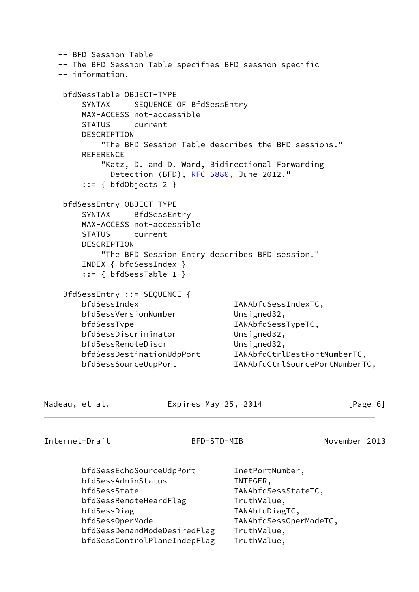-- BFD Session Table -- The BFD Session Table specifies BFD session specific -- information. bfdSessTable OBJECT-TYPE SYNTAX SEQUENCE OF BfdSessEntry MAX-ACCESS not-accessible STATUS current **DESCRIPTION**  "The BFD Session Table describes the BFD sessions." REFERENCE "Katz, D. and D. Ward, Bidirectional Forwarding Detection (BFD), [RFC 5880,](https://datatracker.ietf.org/doc/pdf/rfc5880) June 2012." ::= { bfdObjects 2 } bfdSessEntry OBJECT-TYPE SYNTAX BfdSessEntry MAX-ACCESS not-accessible STATUS current DESCRIPTION "The BFD Session Entry describes BFD session." INDEX { bfdSessIndex } ::= { bfdSessTable 1 } BfdSessEntry ::= SEQUENCE { bfdSessIndex IANAbfdSessIndexTC, bfdSessVersionNumber Unsigned32, bfdSessType IANAbfdSessTypeTC, bfdSessDiscriminator Unsigned32, bfdSessRemoteDiscr Unsigned32, bfdSessDestinationUdpPort IANAbfdCtrlDestPortNumberTC, bfdSessSourceUdpPort IANAbfdCtrlSourcePortNumberTC, Nadeau, et al. Expires May 25, 2014 [Page 6]

Internet-Draft BFD-STD-MIB November 2013

 bfdSessEchoSourceUdpPort InetPortNumber, bfdSessAdminStatus INTEGER, bfdSessState IANAbfdSessStateTC, bfdSessRemoteHeardFlag TruthValue, bfdSessDiag and IANAbfdDiagTC, bfdSessOperMode IANAbfdSessOperModeTC, bfdSessDemandModeDesiredFlag TruthValue, bfdSessControlPlaneIndepFlag TruthValue,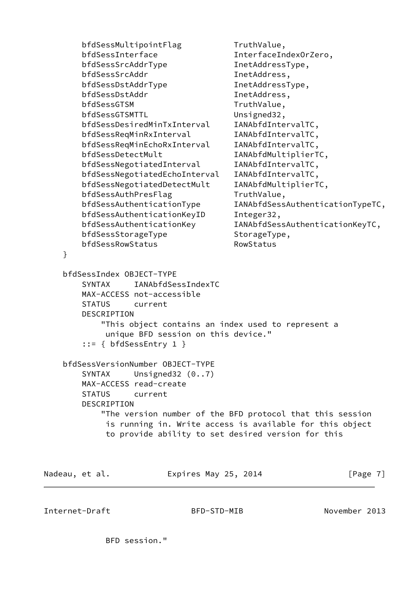```
bfdSessMultipointFlag TruthValue,
       bfdSessInterface InterfaceIndexOrZero,
      bfdSessSrcAddrType InetAddressType,
      bfdSessSrcAddr InetAddress,
      bfdSessDstAddrType InetAddressType,
      bfdSessDstAddr InetAddress,
      bfdSessGTSM TruthValue.
      bfdSessGTSMTTL Unsigned32,
      bfdSessDesiredMinTxInterval IANAbfdIntervalTC,
      bfdSessReqMinRxInterval IANAbfdIntervalTC,
       bfdSessReqMinEchoRxInterval IANAbfdIntervalTC,
      bfdSessDetectMult IANAbfdMultiplierTC,
      bfdSessNegotiatedInterval IANAbfdIntervalTC,
       bfdSessNegotiatedEchoInterval IANAbfdIntervalTC,
       bfdSessNegotiatedDetectMult IANAbfdMultiplierTC,
      bfdSessAuthPresFlag TruthValue,
       bfdSessAuthenticationType IANAbfdSessAuthenticationTypeTC,
      bfdSessAuthenticationKeyID Integer32,
       bfdSessAuthenticationKey IANAbfdSessAuthenticationKeyTC,
      bfdSessStorageType StorageType,
      bfdSessRowStatus RowStatus
    }
    bfdSessIndex OBJECT-TYPE
       SYNTAX IANAbfdSessIndexTC
       MAX-ACCESS not-accessible
       STATUS current
       DESCRIPTION
           "This object contains an index used to represent a
            unique BFD session on this device."
        ::= { bfdSessEntry 1 }
    bfdSessVersionNumber OBJECT-TYPE
      SYNTAX Unsigned32 (0..7)
       MAX-ACCESS read-create
       STATUS current
       DESCRIPTION
           "The version number of the BFD protocol that this session
            is running in. Write access is available for this object
            to provide ability to set desired version for this
Nadeau, et al. Expires May 25, 2014 [Page 7]
```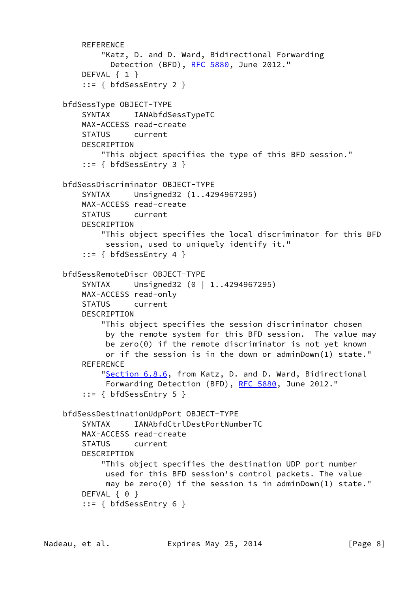```
 REFERENCE
         "Katz, D. and D. Ward, Bidirectional Forwarding
          RFC 5880, June 2012."
     DEFVAL { 1 }
     ::= { bfdSessEntry 2 }
 bfdSessType OBJECT-TYPE
     SYNTAX IANAbfdSessTypeTC
     MAX-ACCESS read-create
     STATUS current
     DESCRIPTION
         "This object specifies the type of this BFD session."
     ::= { bfdSessEntry 3 }
 bfdSessDiscriminator OBJECT-TYPE
     SYNTAX Unsigned32 (1..4294967295)
    MAX-ACCESS read-create
     STATUS current
    DESCRIPTION
         "This object specifies the local discriminator for this BFD
         session, used to uniquely identify it."
     ::= { bfdSessEntry 4 }
 bfdSessRemoteDiscr OBJECT-TYPE
    SYNTAX Unsigned32 (0 | 1..4294967295)
    MAX-ACCESS read-only
     STATUS current
     DESCRIPTION
         "This object specifies the session discriminator chosen
         by the remote system for this BFD session. The value may
         be zero(0) if the remote discriminator is not yet known
          or if the session is in the down or adminDown(1) state."
     REFERENCE
        "Section 6.8.6, from Katz, D. and D. Ward, Bidirectional
         Forwarding Detection (BFD), RFC 5880, June 2012."
     ::= { bfdSessEntry 5 }
 bfdSessDestinationUdpPort OBJECT-TYPE
     SYNTAX IANAbfdCtrlDestPortNumberTC
     MAX-ACCESS read-create
     STATUS current
     DESCRIPTION
         "This object specifies the destination UDP port number
         used for this BFD session's control packets. The value
         may be zero(0) if the session is in adminDown(1) state."
    DEFVAL { 0 }
     ::= { bfdSessEntry 6 }
```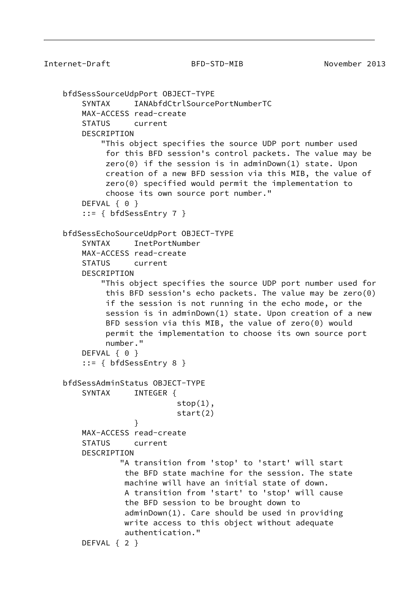```
 bfdSessSourceUdpPort OBJECT-TYPE
         SYNTAX IANAbfdCtrlSourcePortNumberTC
        MAX-ACCESS read-create
         STATUS current
        DESCRIPTION
             "This object specifies the source UDP port number used
              for this BFD session's control packets. The value may be
              zero(0) if the session is in adminDown(1) state. Upon
             creation of a new BFD session via this MIB, the value of
             zero(0) specified would permit the implementation to
              choose its own source port number."
       DEFVAL { 0 }
         ::= { bfdSessEntry 7 }
    bfdSessEchoSourceUdpPort OBJECT-TYPE
        SYNTAX InetPortNumber
        MAX-ACCESS read-create
         STATUS current
         DESCRIPTION
             "This object specifies the source UDP port number used for
             this BFD session's echo packets. The value may be zero(0)
             if the session is not running in the echo mode, or the
              session is in adminDown(1) state. Upon creation of a new
             BFD session via this MIB, the value of zero(0) would
             permit the implementation to choose its own source port
             number."
       DEFVAL { 0 }
         ::= { bfdSessEntry 8 }
    bfdSessAdminStatus OBJECT-TYPE
        SYNTAX INTEGER {
                            stop(1),
                             start(2)
 }
        MAX-ACCESS read-create
        STATUS current
        DESCRIPTION
                 "A transition from 'stop' to 'start' will start
                  the BFD state machine for the session. The state
                  machine will have an initial state of down.
                  A transition from 'start' to 'stop' will cause
                  the BFD session to be brought down to
                  adminDown(1). Care should be used in providing
                  write access to this object without adequate
                  authentication."
        DEFVAL { 2 }
```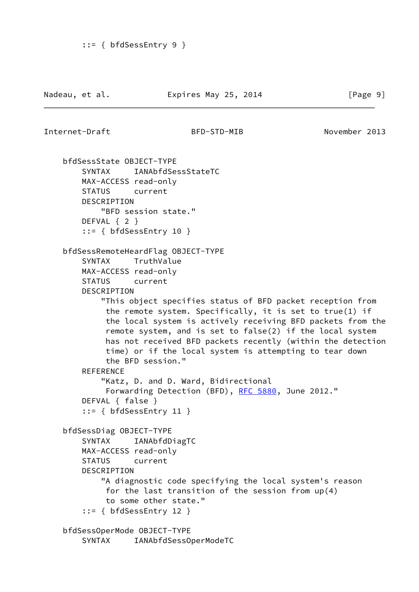```
 bfdSessState OBJECT-TYPE
     SYNTAX IANAbfdSessStateTC
    MAX-ACCESS read-only
    STATUS current
    DESCRIPTION
        "BFD session state."
    DEFVAL { 2 }
    ::= { bfdSessEntry 10 }
 bfdSessRemoteHeardFlag OBJECT-TYPE
    SYNTAX TruthValue
    MAX-ACCESS read-only
    STATUS current
    DESCRIPTION
         "This object specifies status of BFD packet reception from
         the remote system. Specifically, it is set to true(1) if
         the local system is actively receiving BFD packets from the
          remote system, and is set to false(2) if the local system
         has not received BFD packets recently (within the detection
         time) or if the local system is attempting to tear down
         the BFD session."
   REFERENCE
         "Katz, D. and D. Ward, Bidirectional
          RFC 5880, June 2012."
    DEFVAL { false }
     ::= { bfdSessEntry 11 }
 bfdSessDiag OBJECT-TYPE
     SYNTAX IANAbfdDiagTC
    MAX-ACCESS read-only
    STATUS current
    DESCRIPTION
         "A diagnostic code specifying the local system's reason
         for the last transition of the session from up(4)
         to some other state."
     ::= { bfdSessEntry 12 }
 bfdSessOperMode OBJECT-TYPE
    SYNTAX IANAbfdSessOperModeTC
```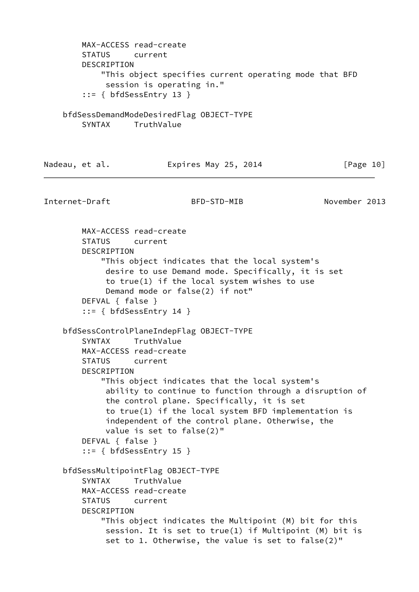MAX-ACCESS read-create STATUS current DESCRIPTION "This object specifies current operating mode that BFD session is operating in." ::= { bfdSessEntry 13 } bfdSessDemandModeDesiredFlag OBJECT-TYPE SYNTAX TruthValue Nadeau, et al. **Expires May 25, 2014** [Page 10] Internet-Draft BFD-STD-MIB November 2013 MAX-ACCESS read-create STATUS current DESCRIPTION "This object indicates that the local system's desire to use Demand mode. Specifically, it is set to true(1) if the local system wishes to use Demand mode or false(2) if not" DEFVAL { false } ::= { bfdSessEntry 14 } bfdSessControlPlaneIndepFlag OBJECT-TYPE SYNTAX TruthValue MAX-ACCESS read-create STATUS current DESCRIPTION "This object indicates that the local system's ability to continue to function through a disruption of the control plane. Specifically, it is set to true(1) if the local system BFD implementation is independent of the control plane. Otherwise, the value is set to false(2)" DEFVAL { false } ::= { bfdSessEntry 15 } bfdSessMultipointFlag OBJECT-TYPE SYNTAX TruthValue MAX-ACCESS read-create STATUS current DESCRIPTION "This object indicates the Multipoint (M) bit for this session. It is set to true(1) if Multipoint (M) bit is set to 1. Otherwise, the value is set to false(2)"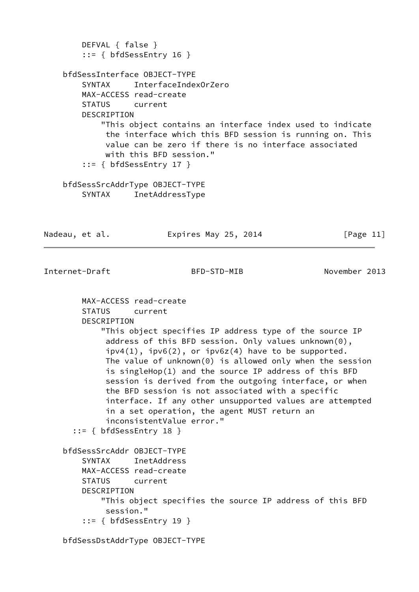```
 DEFVAL { false }
        ::= { bfdSessEntry 16 }
    bfdSessInterface OBJECT-TYPE
        SYNTAX InterfaceIndexOrZero
        MAX-ACCESS read-create
        STATUS current
        DESCRIPTION
            "This object contains an interface index used to indicate
             the interface which this BFD session is running on. This
             value can be zero if there is no interface associated
             with this BFD session."
        ::= { bfdSessEntry 17 }
    bfdSessSrcAddrType OBJECT-TYPE
        SYNTAX InetAddressType
Nadeau, et al. Expires May 25, 2014 [Page 11]
```

```
 MAX-ACCESS read-create
    STATUS current
    DESCRIPTION
         "This object specifies IP address type of the source IP
          address of this BFD session. Only values unknown(0),
         ipv4(1), ipv6(2), or ipv6z(4) have to be supported.
          The value of unknown(0) is allowed only when the session
          is singleHop(1) and the source IP address of this BFD
          session is derived from the outgoing interface, or when
          the BFD session is not associated with a specific
          interface. If any other unsupported values are attempted
          in a set operation, the agent MUST return an
          inconsistentValue error."
   ::= { bfdSessEntry 18 }
 bfdSessSrcAddr OBJECT-TYPE
     SYNTAX InetAddress
    MAX-ACCESS read-create
    STATUS current
    DESCRIPTION
         "This object specifies the source IP address of this BFD
         session."
     ::= { bfdSessEntry 19 }
```
bfdSessDstAddrType OBJECT-TYPE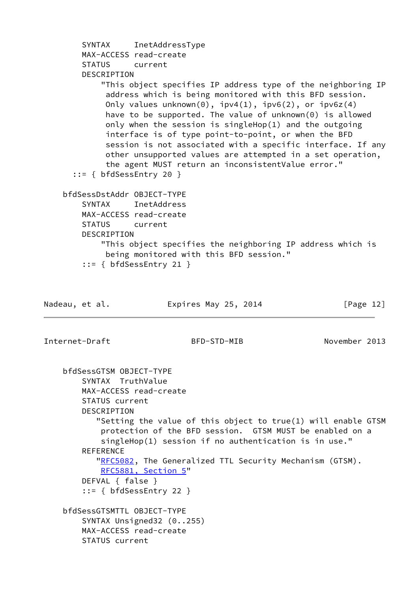```
 SYNTAX InetAddressType
        MAX-ACCESS read-create
        STATUS current
        DESCRIPTION
             "This object specifies IP address type of the neighboring IP
             address which is being monitored with this BFD session.
            Only values unknown(0), ipv4(1), ipv6(2), or ipv6z(4) have to be supported. The value of unknown(0) is allowed
             only when the session is singleHop(1) and the outgoing
             interface is of type point-to-point, or when the BFD
             session is not associated with a specific interface. If any
             other unsupported values are attempted in a set operation,
             the agent MUST return an inconsistentValue error."
       ::= { bfdSessEntry 20 }
     bfdSessDstAddr OBJECT-TYPE
         SYNTAX InetAddress
        MAX-ACCESS read-create
        STATUS current
        DESCRIPTION
             "This object specifies the neighboring IP address which is
             being monitored with this BFD session."
         ::= { bfdSessEntry 21 }
Nadeau, et al. Expires May 25, 2014 [Page 12]
Internet-Draft BFD-STD-MIB November 2013
     bfdSessGTSM OBJECT-TYPE
         SYNTAX TruthValue
        MAX-ACCESS read-create
        STATUS current
        DESCRIPTION
           "Setting the value of this object to true(1) will enable GTSM
            protection of the BFD session. GTSM MUST be enabled on a
            singleHop(1) session if no authentication is in use."
        REFERENCE
            "RFC5082, The Generalized TTL Security Mechanism (GTSM).
            RFC5881, Section 5"
        DEFVAL { false }
         ::= { bfdSessEntry 22 }
    bfdSessGTSMTTL OBJECT-TYPE
         SYNTAX Unsigned32 (0..255)
        MAX-ACCESS read-create
        STATUS current
```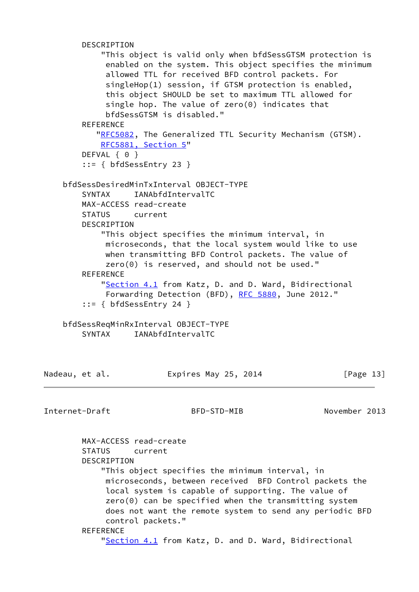```
 DESCRIPTION
            "This object is valid only when bfdSessGTSM protection is
             enabled on the system. This object specifies the minimum
             allowed TTL for received BFD control packets. For
             singleHop(1) session, if GTSM protection is enabled,
             this object SHOULD be set to maximum TTL allowed for
             single hop. The value of zero(0) indicates that
             bfdSessGTSM is disabled."
       REFERENCE
          "RFC5082, The Generalized TTL Security Mechanism (GTSM).
            RFC5881, Section 5"
       DEFVAL { 0 }
        ::= { bfdSessEntry 23 }
    bfdSessDesiredMinTxInterval OBJECT-TYPE
        SYNTAX IANAbfdIntervalTC
        MAX-ACCESS read-create
        STATUS current
        DESCRIPTION
            "This object specifies the minimum interval, in
             microseconds, that the local system would like to use
             when transmitting BFD Control packets. The value of
             zero(0) is reserved, and should not be used."
       REFERENCE
           "Section 4.1 from Katz, D. and D. Ward, Bidirectional
             RFC 5880, June 2012."
        ::= { bfdSessEntry 24 }
    bfdSessReqMinRxInterval OBJECT-TYPE
       SYNTAX IANAbfdIntervalTC
Nadeau, et al. Expires May 25, 2014 [Page 13]
Internet-Draft BFD-STD-MIB November 2013
```
 MAX-ACCESS read-create STATUS current DESCRIPTION "This object specifies the minimum interval, in microseconds, between received BFD Control packets the local system is capable of supporting. The value of zero(0) can be specified when the transmitting system does not want the remote system to send any periodic BFD control packets." **REFERENCE** ["Section 4.1](#page-2-4) from Katz, D. and D. Ward, Bidirectional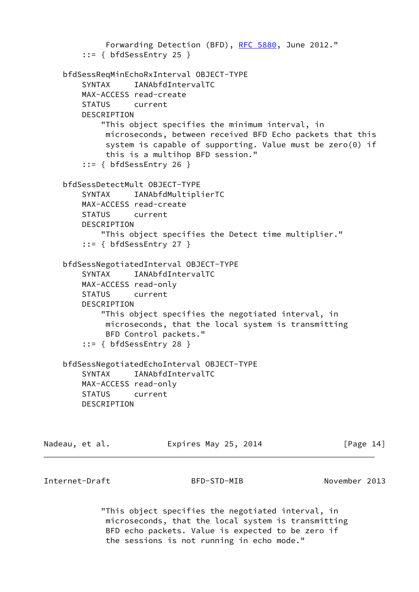```
 RFC 5880, June 2012."
     ::= { bfdSessEntry 25 }
 bfdSessReqMinEchoRxInterval OBJECT-TYPE
    SYNTAX IANAbfdIntervalTC
    MAX-ACCESS read-create
    STATUS current
    DESCRIPTION
        "This object specifies the minimum interval, in
         microseconds, between received BFD Echo packets that this
         system is capable of supporting. Value must be zero(0) if
         this is a multihop BFD session."
     ::= { bfdSessEntry 26 }
 bfdSessDetectMult OBJECT-TYPE
    SYNTAX IANAbfdMultiplierTC
    MAX-ACCESS read-create
    STATUS current
    DESCRIPTION
        "This object specifies the Detect time multiplier."
    ::= { bfdSessEntry 27 }
 bfdSessNegotiatedInterval OBJECT-TYPE
    SYNTAX IANAbfdIntervalTC
    MAX-ACCESS read-only
    STATUS current
    DESCRIPTION
        "This object specifies the negotiated interval, in
         microseconds, that the local system is transmitting
         BFD Control packets."
     ::= { bfdSessEntry 28 }
 bfdSessNegotiatedEchoInterval OBJECT-TYPE
    SYNTAX IANAbfdIntervalTC
    MAX-ACCESS read-only
    STATUS current
    DESCRIPTION
```
Nadeau, et al. **Expires May 25, 2014** [Page 14]

Internet-Draft BFD-STD-MIB November 2013

 "This object specifies the negotiated interval, in microseconds, that the local system is transmitting BFD echo packets. Value is expected to be zero if the sessions is not running in echo mode."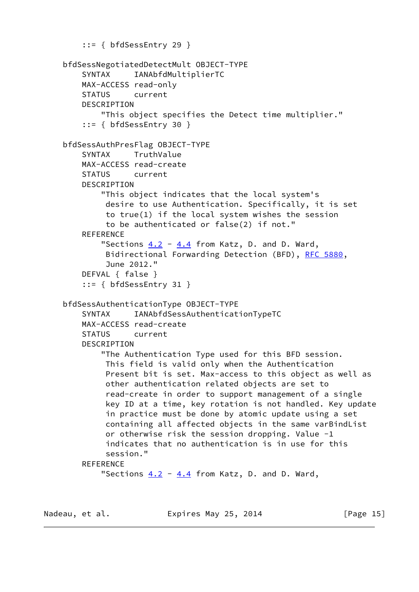```
 ::= { bfdSessEntry 29 }
 bfdSessNegotiatedDetectMult OBJECT-TYPE
     SYNTAX IANAbfdMultiplierTC
     MAX-ACCESS read-only
     STATUS current
     DESCRIPTION
         "This object specifies the Detect time multiplier."
     ::= { bfdSessEntry 30 }
 bfdSessAuthPresFlag OBJECT-TYPE
     SYNTAX TruthValue
     MAX-ACCESS read-create
     STATUS current
     DESCRIPTION
         "This object indicates that the local system's
          desire to use Authentication. Specifically, it is set
          to true(1) if the local system wishes the session
          to be authenticated or false(2) if not."
    REFERENCE
        "Sections 4.2 4.4 from Katz, D. and D. Ward,
          Bidirectional Forwarding Detection (BFD), RFC 5880,
          June 2012."
     DEFVAL { false }
     ::= { bfdSessEntry 31 }
 bfdSessAuthenticationType OBJECT-TYPE
     SYNTAX IANAbfdSessAuthenticationTypeTC
     MAX-ACCESS read-create
     STATUS current
     DESCRIPTION
         "The Authentication Type used for this BFD session.
          This field is valid only when the Authentication
          Present bit is set. Max-access to this object as well as
          other authentication related objects are set to
          read-create in order to support management of a single
          key ID at a time, key rotation is not handled. Key update
          in practice must be done by atomic update using a set
          containing all affected objects in the same varBindList
          or otherwise risk the session dropping. Value -1
          indicates that no authentication is in use for this
          session."
    REFERENCE
        "Sections 4.2 4.4 from Katz, D. and D. Ward,
```
Nadeau, et al. **Expires May 25, 2014** [Page 15]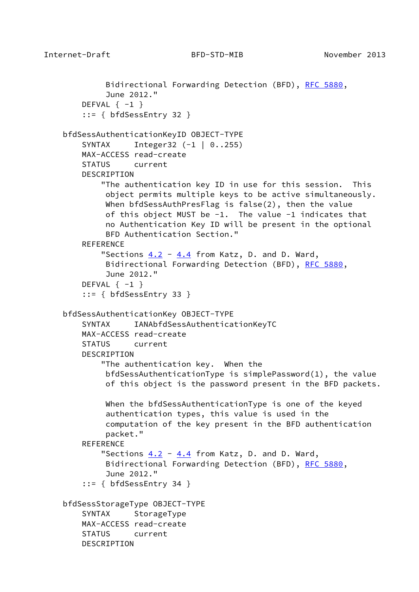```
RFC 5880,
          June 2012."
   DEFVAL \{-1\} ::= { bfdSessEntry 32 }
 bfdSessAuthenticationKeyID OBJECT-TYPE
     SYNTAX Integer32 (-1 | 0..255)
    MAX-ACCESS read-create
    STATUS current
    DESCRIPTION
         "The authentication key ID in use for this session. This
         object permits multiple keys to be active simultaneously.
         When bfdSessAuthPresFlag is false(2), then the value
         of this object MUST be -1. The value -1 indicates that
         no Authentication Key ID will be present in the optional
         BFD Authentication Section."
   REFERENCE
        "Sections 4.2 4.4 from Katz, D. and D. Ward,
         Bidirectional Forwarding Detection (BFD), RFC 5880,
         June 2012."
   DEFVAL \{-1\} ::= { bfdSessEntry 33 }
 bfdSessAuthenticationKey OBJECT-TYPE
    SYNTAX IANAbfdSessAuthenticationKeyTC
    MAX-ACCESS read-create
    STATUS current
    DESCRIPTION
         "The authentication key. When the
         bfdSessAuthenticationType is simplePassword(1), the value
         of this object is the password present in the BFD packets.
         When the bfdSessAuthenticationType is one of the keyed
         authentication types, this value is used in the
          computation of the key present in the BFD authentication
         packet."
    REFERENCE
        "Sections 4.2 4.4 from Katz, D. and D. Ward,
         Bidirectional Forwarding Detection (BFD), RFC 5880,
         June 2012."
     ::= { bfdSessEntry 34 }
 bfdSessStorageType OBJECT-TYPE
   SYNTAX StorageType
    MAX-ACCESS read-create
    STATUS current
    DESCRIPTION
```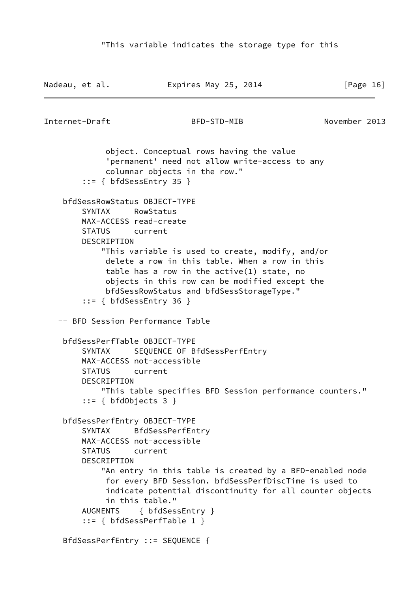```
Nadeau, et al. Expires May 25, 2014 [Page 16]
Internet-Draft BFD-STD-MIB November 2013
             object. Conceptual rows having the value
             'permanent' need not allow write-access to any
             columnar objects in the row."
         ::= { bfdSessEntry 35 }
     bfdSessRowStatus OBJECT-TYPE
        SYNTAX RowStatus
        MAX-ACCESS read-create
        STATUS current
        DESCRIPTION
            "This variable is used to create, modify, and/or
             delete a row in this table. When a row in this
             table has a row in the active(1) state, no
             objects in this row can be modified except the
             bfdSessRowStatus and bfdSessStorageType."
         ::= { bfdSessEntry 36 }
   -- BFD Session Performance Table
    bfdSessPerfTable OBJECT-TYPE
        SYNTAX SEQUENCE OF BfdSessPerfEntry
        MAX-ACCESS not-accessible
        STATUS current
        DESCRIPTION
            "This table specifies BFD Session performance counters."
         ::= { bfdObjects 3 }
     bfdSessPerfEntry OBJECT-TYPE
        SYNTAX BfdSessPerfEntry
        MAX-ACCESS not-accessible
        STATUS current
        DESCRIPTION
            "An entry in this table is created by a BFD-enabled node
             for every BFD Session. bfdSessPerfDiscTime is used to
             indicate potential discontinuity for all counter objects
             in this table."
        AUGMENTS { bfdSessEntry }
         ::= { bfdSessPerfTable 1 }
    BfdSessPerfEntry ::= SEQUENCE {
```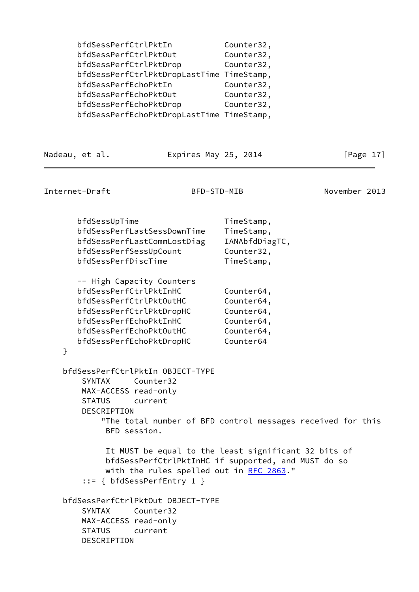bfdSessPerfCtrlPktIn Counter32, bfdSessPerfCtrlPktOut Counter32, bfdSessPerfCtrlPktDrop Counter32, bfdSessPerfCtrlPktDropLastTime TimeStamp, bfdSessPerfEchoPktIn Counter32, bfdSessPerfEchoPktOut Counter32, bfdSessPerfEchoPktDrop Counter32, bfdSessPerfEchoPktDropLastTime TimeStamp,

Nadeau, et al. **Expires May 25, 2014** [Page 17]

Internet-Draft BFD-STD-MIB November 2013

}

DESCRIPTION

bfdSessUpTime TimeStamp, bfdSessPerfLastSessDownTime TimeStamp, bfdSessPerfLastCommLostDiag IANAbfdDiagTC, bfdSessPerfSessUpCount Counter32, bfdSessPerfDiscTime TimeStamp, -- High Capacity Counters bfdSessPerfCtrlPktInHC Counter64, bfdSessPerfCtrlPktOutHC Counter64, bfdSessPerfCtrlPktDropHC Counter64, bfdSessPerfEchoPktInHC Counter64, bfdSessPerfEchoPktOutHC Counter64,

bfdSessPerfEchoPktDropHC Counter64

 bfdSessPerfCtrlPktIn OBJECT-TYPE SYNTAX Counter32 MAX-ACCESS read-only STATUS current DESCRIPTION "The total number of BFD control messages received for this BFD session. It MUST be equal to the least significant 32 bits of bfdSessPerfCtrlPktInHC if supported, and MUST do so with the rules spelled out in [RFC 2863](https://datatracker.ietf.org/doc/pdf/rfc2863)." ::= { bfdSessPerfEntry 1 } bfdSessPerfCtrlPktOut OBJECT-TYPE SYNTAX Counter32 MAX-ACCESS read-only STATUS current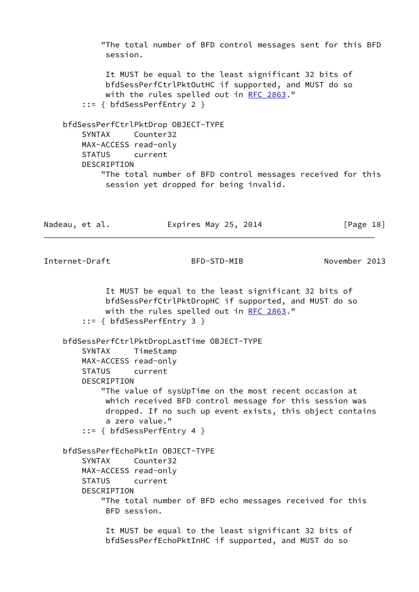"The total number of BFD control messages sent for this BFD session.

 It MUST be equal to the least significant 32 bits of bfdSessPerfCtrlPktOutHC if supported, and MUST do so with the rules spelled out in [RFC 2863](https://datatracker.ietf.org/doc/pdf/rfc2863)." ::= { bfdSessPerfEntry 2 }

 bfdSessPerfCtrlPktDrop OBJECT-TYPE SYNTAX Counter32 MAX-ACCESS read-only STATUS current DESCRIPTION "The total number of BFD control messages received for this session yet dropped for being invalid.

Nadeau, et al. **Expires May 25, 2014** [Page 18]

Internet-Draft BFD-STD-MIB November 2013

 It MUST be equal to the least significant 32 bits of bfdSessPerfCtrlPktDropHC if supported, and MUST do so with the rules spelled out in [RFC 2863](https://datatracker.ietf.org/doc/pdf/rfc2863)." ::= { bfdSessPerfEntry 3 } bfdSessPerfCtrlPktDropLastTime OBJECT-TYPE SYNTAX TimeStamp MAX-ACCESS read-only STATUS current DESCRIPTION "The value of sysUpTime on the most recent occasion at which received BFD control message for this session was dropped. If no such up event exists, this object contains a zero value." ::= { bfdSessPerfEntry 4 } bfdSessPerfEchoPktIn OBJECT-TYPE SYNTAX Counter32 MAX-ACCESS read-only STATUS current DESCRIPTION "The total number of BFD echo messages received for this BFD session. It MUST be equal to the least significant 32 bits of bfdSessPerfEchoPktInHC if supported, and MUST do so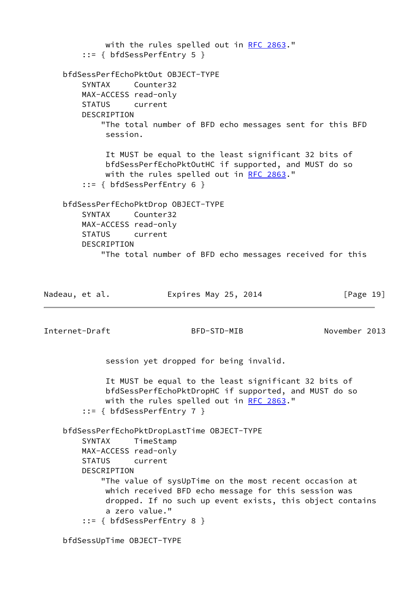with the rules spelled out in [RFC 2863](https://datatracker.ietf.org/doc/pdf/rfc2863)." ::= { bfdSessPerfEntry 5 } bfdSessPerfEchoPktOut OBJECT-TYPE SYNTAX Counter32 MAX-ACCESS read-only STATUS current DESCRIPTION "The total number of BFD echo messages sent for this BFD session. It MUST be equal to the least significant 32 bits of bfdSessPerfEchoPktOutHC if supported, and MUST do so with the rules spelled out in [RFC 2863](https://datatracker.ietf.org/doc/pdf/rfc2863)." ::= { bfdSessPerfEntry 6 } bfdSessPerfEchoPktDrop OBJECT-TYPE SYNTAX Counter32 MAX-ACCESS read-only STATUS current DESCRIPTION "The total number of BFD echo messages received for this Nadeau, et al. **Expires May 25, 2014** [Page 19] Internet-Draft BFD-STD-MIB November 2013 session yet dropped for being invalid. It MUST be equal to the least significant 32 bits of bfdSessPerfEchoPktDropHC if supported, and MUST do so with the rules spelled out in [RFC 2863](https://datatracker.ietf.org/doc/pdf/rfc2863)." ::= { bfdSessPerfEntry 7 } bfdSessPerfEchoPktDropLastTime OBJECT-TYPE SYNTAX TimeStamp MAX-ACCESS read-only STATUS current DESCRIPTION "The value of sysUpTime on the most recent occasion at which received BFD echo message for this session was dropped. If no such up event exists, this object contains a zero value." ::= { bfdSessPerfEntry 8 } bfdSessUpTime OBJECT-TYPE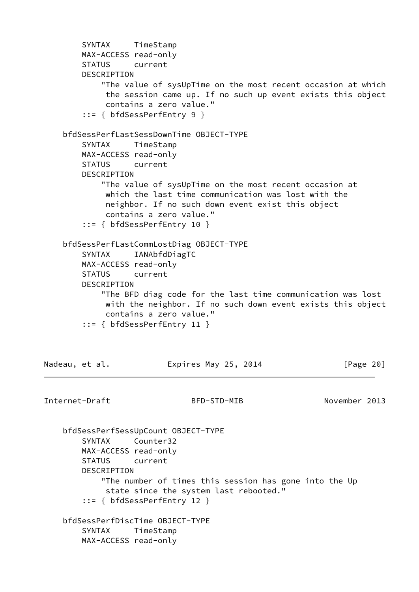```
 SYNTAX TimeStamp
        MAX-ACCESS read-only
        STATUS current
        DESCRIPTION
            "The value of sysUpTime on the most recent occasion at which
             the session came up. If no such up event exists this object
             contains a zero value."
        ::= { bfdSessPerfEntry 9 }
    bfdSessPerfLastSessDownTime OBJECT-TYPE
        SYNTAX TimeStamp
        MAX-ACCESS read-only
        STATUS current
        DESCRIPTION
            "The value of sysUpTime on the most recent occasion at
             which the last time communication was lost with the
             neighbor. If no such down event exist this object
             contains a zero value."
        ::= { bfdSessPerfEntry 10 }
    bfdSessPerfLastCommLostDiag OBJECT-TYPE
        SYNTAX IANAbfdDiagTC
        MAX-ACCESS read-only
        STATUS current
        DESCRIPTION
            "The BFD diag code for the last time communication was lost
             with the neighbor. If no such down event exists this object
             contains a zero value."
        ::= { bfdSessPerfEntry 11 }
Nadeau, et al. Expires May 25, 2014 [Page 20]
Internet-Draft BFD-STD-MIB November 2013
    bfdSessPerfSessUpCount OBJECT-TYPE
        SYNTAX Counter32
        MAX-ACCESS read-only
        STATUS current
        DESCRIPTION
            "The number of times this session has gone into the Up
             state since the system last rebooted."
        ::= { bfdSessPerfEntry 12 }
    bfdSessPerfDiscTime OBJECT-TYPE
        SYNTAX TimeStamp
        MAX-ACCESS read-only
```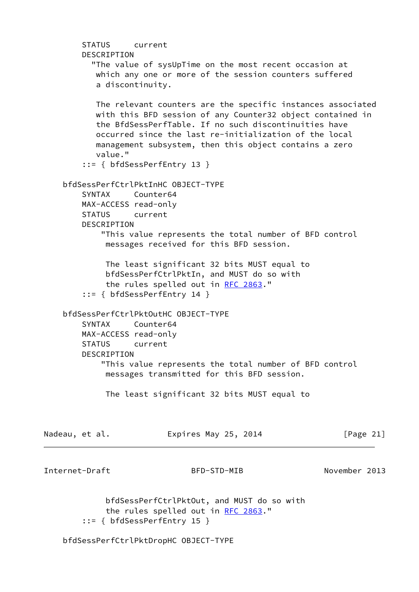| STATUS current<br>DESCRIPTION                                                                                                                                                                                                                                                                                                                        |  |
|------------------------------------------------------------------------------------------------------------------------------------------------------------------------------------------------------------------------------------------------------------------------------------------------------------------------------------------------------|--|
| "The value of sysUpTime on the most recent occasion at<br>which any one or more of the session counters suffered<br>a discontinuity.                                                                                                                                                                                                                 |  |
| The relevant counters are the specific instances associated<br>with this BFD session of any Counter32 object contained in<br>the BfdSessPerfTable. If no such discontinuities have<br>occurred since the last re-initialization of the local<br>management subsystem, then this object contains a zero<br>value."<br>$::= \{ bfdSessPerfEntry 13 \}$ |  |
| bfdSessPerfCtrlPktInHC OBJECT-TYPE                                                                                                                                                                                                                                                                                                                   |  |
| SYNTAX Counter64                                                                                                                                                                                                                                                                                                                                     |  |
| MAX-ACCESS read-only<br>current<br><b>STATUS</b>                                                                                                                                                                                                                                                                                                     |  |
| DESCRIPTION                                                                                                                                                                                                                                                                                                                                          |  |
| "This value represents the total number of BFD control<br>messages received for this BFD session.                                                                                                                                                                                                                                                    |  |
| The least significant 32 bits MUST equal to<br>bfdSessPerfCtrlPktIn, and MUST do so with<br>the rules spelled out in RFC 2863."<br>$::= \{ bfdSessPerfEntry 14 \}$                                                                                                                                                                                   |  |
| bfdSessPerfCtrlPktOutHC OBJECT-TYPE<br>Counter64<br>SYNTAX<br>MAX-ACCESS read-only<br><b>STATUS</b><br>current<br>DESCRIPTION<br>"This value represents the total number of BFD control                                                                                                                                                              |  |
| messages transmitted for this BFD session.                                                                                                                                                                                                                                                                                                           |  |
| The least significant 32 bits MUST equal to                                                                                                                                                                                                                                                                                                          |  |
| Expires May 25, 2014<br>[Page $21$ ]<br>Nadeau, et al.                                                                                                                                                                                                                                                                                               |  |
| Internet-Draft<br>November 2013<br>BFD-STD-MIB                                                                                                                                                                                                                                                                                                       |  |
| bfdSessPerfCtrlPktOut, and MUST do so with<br>the rules spelled out in RFC 2863."<br>$::= \{ bfdSessPerfEntry 15 \}$                                                                                                                                                                                                                                 |  |
| bfdSessPerfCtrlPktDropHC OBJECT-TYPE                                                                                                                                                                                                                                                                                                                 |  |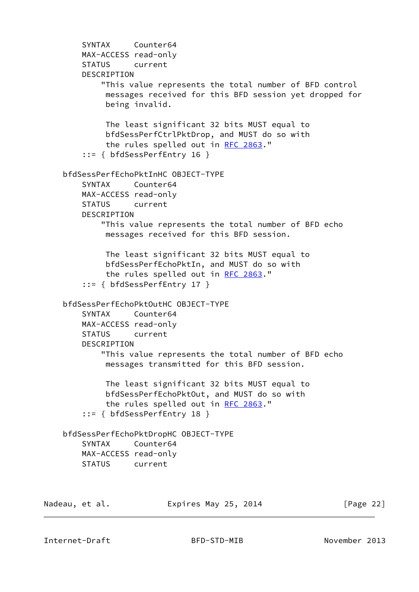SYNTAX Counter64 MAX-ACCESS read-only STATUS current DESCRIPTION "This value represents the total number of BFD control messages received for this BFD session yet dropped for being invalid. The least significant 32 bits MUST equal to bfdSessPerfCtrlPktDrop, and MUST do so with the rules spelled out in [RFC 2863.](https://datatracker.ietf.org/doc/pdf/rfc2863)" ::= { bfdSessPerfEntry 16 } bfdSessPerfEchoPktInHC OBJECT-TYPE SYNTAX Counter64 MAX-ACCESS read-only STATUS current DESCRIPTION "This value represents the total number of BFD echo messages received for this BFD session. The least significant 32 bits MUST equal to bfdSessPerfEchoPktIn, and MUST do so with the rules spelled out in [RFC 2863.](https://datatracker.ietf.org/doc/pdf/rfc2863)" ::= { bfdSessPerfEntry 17 } bfdSessPerfEchoPktOutHC OBJECT-TYPE SYNTAX Counter64 MAX-ACCESS read-only STATUS current DESCRIPTION "This value represents the total number of BFD echo messages transmitted for this BFD session. The least significant 32 bits MUST equal to bfdSessPerfEchoPktOut, and MUST do so with the rules spelled out in [RFC 2863.](https://datatracker.ietf.org/doc/pdf/rfc2863)" ::= { bfdSessPerfEntry 18 } bfdSessPerfEchoPktDropHC OBJECT-TYPE SYNTAX Counter64 MAX-ACCESS read-only STATUS current

| Nadeau, et al. | Expires May 25, 2014 | [Page 22] |
|----------------|----------------------|-----------|
|                |                      |           |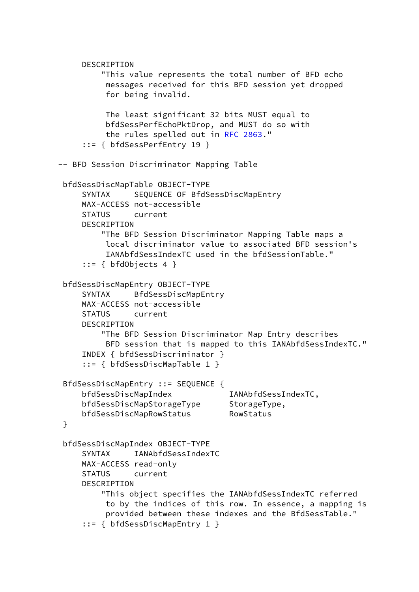```
 DESCRIPTION
          "This value represents the total number of BFD echo
          messages received for this BFD session yet dropped
           for being invalid.
          The least significant 32 bits MUST equal to
          bfdSessPerfEchoPktDrop, and MUST do so with
           the rules spelled out in RFC 2863."
      ::= { bfdSessPerfEntry 19 }
 -- BFD Session Discriminator Mapping Table
  bfdSessDiscMapTable OBJECT-TYPE
     SYNTAX SEQUENCE OF BfdSessDiscMapEntry
      MAX-ACCESS not-accessible
      STATUS current
      DESCRIPTION
          "The BFD Session Discriminator Mapping Table maps a
          local discriminator value to associated BFD session's
           IANAbfdSessIndexTC used in the bfdSessionTable."
     ::= { bfdObjects 4 }
  bfdSessDiscMapEntry OBJECT-TYPE
      SYNTAX BfdSessDiscMapEntry
      MAX-ACCESS not-accessible
      STATUS current
      DESCRIPTION
          "The BFD Session Discriminator Map Entry describes
           BFD session that is mapped to this IANAbfdSessIndexTC."
      INDEX { bfdSessDiscriminator }
      ::= { bfdSessDiscMapTable 1 }
  BfdSessDiscMapEntry ::= SEQUENCE {
      bfdSessDiscMapIndex IANAbfdSessIndexTC,
     bfdSessDiscMapStorageType StorageType,
      bfdSessDiscMapRowStatus RowStatus
  }
  bfdSessDiscMapIndex OBJECT-TYPE
      SYNTAX IANAbfdSessIndexTC
      MAX-ACCESS read-only
      STATUS current
     DESCRIPTION
          "This object specifies the IANAbfdSessIndexTC referred
           to by the indices of this row. In essence, a mapping is
           provided between these indexes and the BfdSessTable."
      ::= { bfdSessDiscMapEntry 1 }
```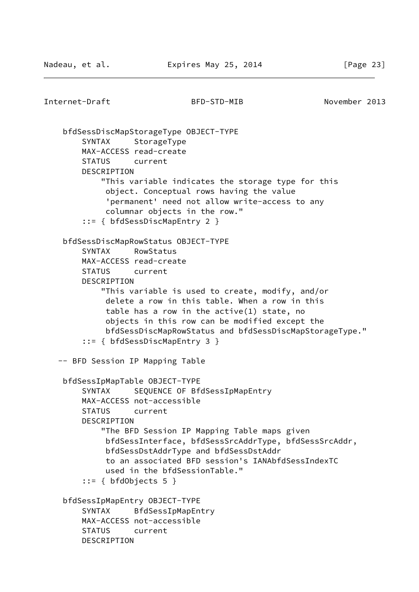```
Internet-Draft BFD-STD-MIB November 2013
    bfdSessDiscMapStorageType OBJECT-TYPE
        SYNTAX StorageType
        MAX-ACCESS read-create
        STATUS current
        DESCRIPTION
             "This variable indicates the storage type for this
             object. Conceptual rows having the value
              'permanent' need not allow write-access to any
             columnar objects in the row."
         ::= { bfdSessDiscMapEntry 2 }
     bfdSessDiscMapRowStatus OBJECT-TYPE
        SYNTAX RowStatus
        MAX-ACCESS read-create
        STATUS current
        DESCRIPTION
             "This variable is used to create, modify, and/or
             delete a row in this table. When a row in this
              table has a row in the active(1) state, no
             objects in this row can be modified except the
             bfdSessDiscMapRowStatus and bfdSessDiscMapStorageType."
         ::= { bfdSessDiscMapEntry 3 }
   -- BFD Session IP Mapping Table
    bfdSessIpMapTable OBJECT-TYPE
       SYNTAX SEQUENCE OF BfdSessIpMapEntry
        MAX-ACCESS not-accessible
        STATUS current
        DESCRIPTION
             "The BFD Session IP Mapping Table maps given
             bfdSessInterface, bfdSessSrcAddrType, bfdSessSrcAddr,
             bfdSessDstAddrType and bfdSessDstAddr
             to an associated BFD session's IANAbfdSessIndexTC
             used in the bfdSessionTable."
        ::= \{ bfdObjects 5 \} bfdSessIpMapEntry OBJECT-TYPE
         SYNTAX BfdSessIpMapEntry
        MAX-ACCESS not-accessible
        STATUS current
        DESCRIPTION
```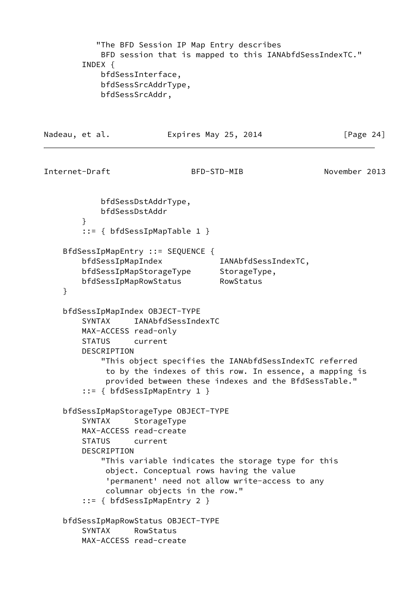```
 "The BFD Session IP Map Entry describes
            BFD session that is mapped to this IANAbfdSessIndexTC."
        INDEX {
            bfdSessInterface,
            bfdSessSrcAddrType,
            bfdSessSrcAddr,
Nadeau, et al. Expires May 25, 2014 [Page 24]
Internet-Draft BFD-STD-MIB November 2013
            bfdSessDstAddrType,
            bfdSessDstAddr
        }
        ::= { bfdSessIpMapTable 1 }
    BfdSessIpMapEntry ::= SEQUENCE {
       bfdSessIpMapIndex IANAbfdSessIndexTC,
 bfdSessIpMapStorageType StorageType,
 bfdSessIpMapRowStatus RowStatus
    }
    bfdSessIpMapIndex OBJECT-TYPE
        SYNTAX IANAbfdSessIndexTC
        MAX-ACCESS read-only
        STATUS current
        DESCRIPTION
            "This object specifies the IANAbfdSessIndexTC referred
             to by the indexes of this row. In essence, a mapping is
             provided between these indexes and the BfdSessTable."
        ::= { bfdSessIpMapEntry 1 }
    bfdSessIpMapStorageType OBJECT-TYPE
        SYNTAX StorageType
        MAX-ACCESS read-create
        STATUS current
        DESCRIPTION
            "This variable indicates the storage type for this
             object. Conceptual rows having the value
             'permanent' need not allow write-access to any
             columnar objects in the row."
        ::= { bfdSessIpMapEntry 2 }
    bfdSessIpMapRowStatus OBJECT-TYPE
        SYNTAX RowStatus
        MAX-ACCESS read-create
```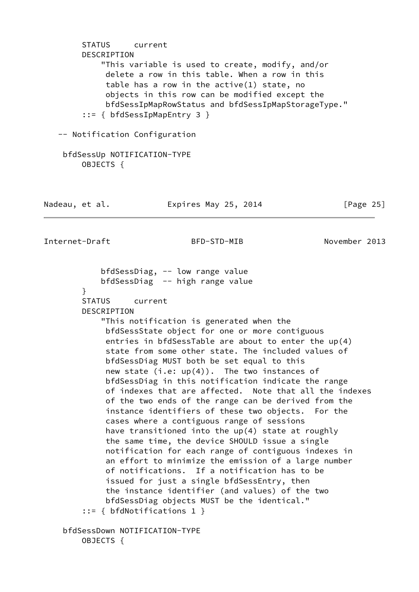STATUS current DESCRIPTION "This variable is used to create, modify, and/or delete a row in this table. When a row in this table has a row in the active(1) state, no objects in this row can be modified except the bfdSessIpMapRowStatus and bfdSessIpMapStorageType." ::= { bfdSessIpMapEntry 3 } -- Notification Configuration bfdSessUp NOTIFICATION-TYPE OBJECTS { Nadeau, et al. **Expires May 25, 2014** [Page 25] Internet-Draft BFD-STD-MIB November 2013 bfdSessDiag, -- low range value bfdSessDiag -- high range value } STATUS current DESCRIPTION "This notification is generated when the bfdSessState object for one or more contiguous entries in bfdSessTable are about to enter the up(4) state from some other state. The included values of bfdSessDiag MUST both be set equal to this new state  $(i.e: up(4))$ . The two instances of bfdSessDiag in this notification indicate the range of indexes that are affected. Note that all the indexes of the two ends of the range can be derived from the instance identifiers of these two objects. For the cases where a contiguous range of sessions have transitioned into the up(4) state at roughly the same time, the device SHOULD issue a single notification for each range of contiguous indexes in an effort to minimize the emission of a large number of notifications. If a notification has to be issued for just a single bfdSessEntry, then the instance identifier (and values) of the two bfdSessDiag objects MUST be the identical." ::= { bfdNotifications 1 } bfdSessDown NOTIFICATION-TYPE OBJECTS {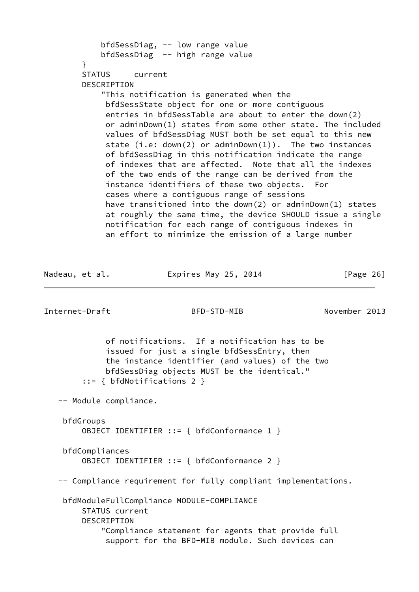```
 bfdSessDiag, -- low range value
     bfdSessDiag -- high range value
 }
 STATUS current
 DESCRIPTION
     "This notification is generated when the
      bfdSessState object for one or more contiguous
      entries in bfdSessTable are about to enter the down(2)
      or adminDown(1) states from some other state. The included
      values of bfdSessDiag MUST both be set equal to this new
     state (i.e: down(2) or adminDown(1)). The two instances
      of bfdSessDiag in this notification indicate the range
      of indexes that are affected. Note that all the indexes
      of the two ends of the range can be derived from the
      instance identifiers of these two objects. For
      cases where a contiguous range of sessions
      have transitioned into the down(2) or adminDown(1) states
      at roughly the same time, the device SHOULD issue a single
      notification for each range of contiguous indexes in
      an effort to minimize the emission of a large number
```

| Nadeau, et al. | Expires May 25, 2014 | [Page $26$ ] |
|----------------|----------------------|--------------|
|                |                      |              |

 of notifications. If a notification has to be issued for just a single bfdSessEntry, then the instance identifier (and values) of the two bfdSessDiag objects MUST be the identical." ::= { bfdNotifications 2 }

-- Module compliance.

```
 bfdGroups
     OBJECT IDENTIFIER ::= { bfdConformance 1 }
 bfdCompliances
```

```
 OBJECT IDENTIFIER ::= { bfdConformance 2 }
```
-- Compliance requirement for fully compliant implementations.

 bfdModuleFullCompliance MODULE-COMPLIANCE STATUS current DESCRIPTION "Compliance statement for agents that provide full support for the BFD-MIB module. Such devices can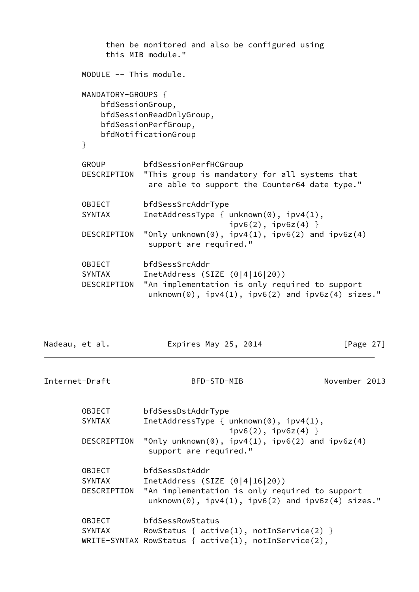|                                             | then be monitored and also be configured using<br>this MIB module."                                                                                            |
|---------------------------------------------|----------------------------------------------------------------------------------------------------------------------------------------------------------------|
| MODULE -- This module.                      |                                                                                                                                                                |
| MANDATORY-GROUPS {<br>bfdSessionGroup,<br>} | bfdSessionReadOnlyGroup,<br>bfdSessionPerfGroup,<br>bfdNotificationGroup                                                                                       |
| <b>GROUP</b><br>DESCRIPTION                 | bfdSessionPerfHCGroup<br>"This group is mandatory for all systems that<br>are able to support the Counter64 date type."                                        |
| OBJECT<br>SYNTAX                            | bfdSessSrcAddrType<br>InetAddressType { $unknown(0)$ , $ipv4(1)$ ,<br>$ipv6(2)$ , $ipv6z(4)$ }                                                                 |
| DESCRIPTION                                 | "Only unknown(0), $ipv4(1)$ , $ipv6(2)$ and $ipv6z(4)$<br>support are required."                                                                               |
| OBJECT<br><b>SYNTAX</b><br>DESCRIPTION      | bfdSessSrcAddr<br>InetAddress (SIZE $(0 4 16 20)$ )<br>"An implementation is only required to support<br>$unknown(0), ipv4(1), ipv6(2)$ and $ipv6z(4)$ sizes." |

Nadeau, et al. **Expires May 25, 2014** [Page 27]

| <b>OBJECT</b> | bfdSessDstAddrType                                                                                            |
|---------------|---------------------------------------------------------------------------------------------------------------|
| <b>SYNTAX</b> | InetAddressType { $unknown(0)$ , $ipv4(1)$ ,<br>$ipv6(2)$ , $ipv6z(4)$ }                                      |
| DESCRIPTION   | "Only unknown(0), $ipv4(1)$ , $ipv6(2)$ and $ipv6z(4)$<br>support are required."                              |
| <b>OBJECT</b> | bfdSessDstAddr                                                                                                |
| <b>SYNTAX</b> | InetAddress (SIZE $(0 4 16 20)$ )                                                                             |
| DESCRIPTION   | "An implementation is only required to support<br>$unknown(0)$ , $ipv4(1)$ , $ipv6(2)$ and $ipv6z(4)$ sizes." |
| <b>OBJECT</b> | bfdSessRowStatus                                                                                              |
| <b>SYNTAX</b> | RowStatus { $active(1)$ , $notInService(2)$ }                                                                 |
|               | WRITE-SYNTAX RowStatus { $active(1)$ , $notInService(2)$ ,                                                    |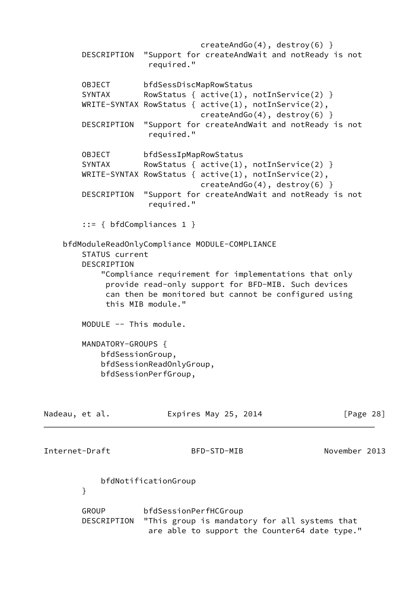createAndGo(4), destroy(6) } DESCRIPTION "Support for createAndWait and notReady is not required." OBJECT bfdSessDiscMapRowStatus SYNTAX RowStatus {  $active(1)$ ,  $notInService(2)$  } WRITE-SYNTAX RowStatus { active(1), notInService(2), createAndGo(4), destroy(6) } DESCRIPTION "Support for createAndWait and notReady is not required." OBJECT bfdSessIpMapRowStatus SYNTAX RowStatus {  $active(1)$ ,  $notInService(2)$  } WRITE-SYNTAX RowStatus { active(1), notInService(2), createAndGo(4), destroy(6) } DESCRIPTION "Support for createAndWait and notReady is not required." ::= { bfdCompliances 1 } bfdModuleReadOnlyCompliance MODULE-COMPLIANCE STATUS current DESCRIPTION "Compliance requirement for implementations that only provide read-only support for BFD-MIB. Such devices can then be monitored but cannot be configured using this MIB module." MODULE -- This module. MANDATORY-GROUPS { bfdSessionGroup, bfdSessionReadOnlyGroup, bfdSessionPerfGroup, Nadeau, et al. **Expires May 25, 2014** [Page 28] Internet-Draft BFD-STD-MIB November 2013 bfdNotificationGroup } GROUP bfdSessionPerfHCGroup DESCRIPTION "This group is mandatory for all systems that are able to support the Counter64 date type."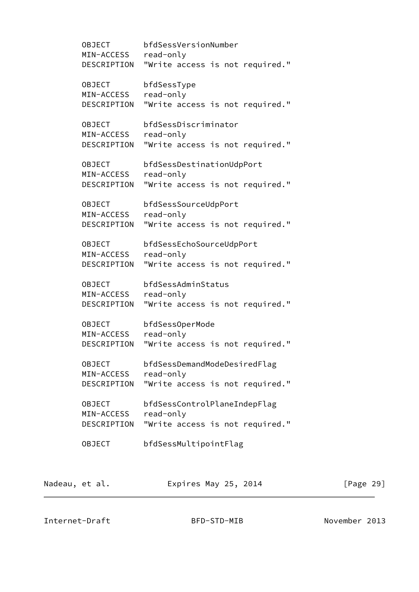OBJECT bfdSessVersionNumber MIN-ACCESS read-only DESCRIPTION "Write access is not required." OBJECT bfdSessType MIN-ACCESS read-only DESCRIPTION "Write access is not required." OBJECT bfdSessDiscriminator MIN-ACCESS read-only DESCRIPTION "Write access is not required." OBJECT bfdSessDestinationUdpPort MIN-ACCESS read-only DESCRIPTION "Write access is not required." OBJECT bfdSessSourceUdpPort MIN-ACCESS read-only DESCRIPTION "Write access is not required." OBJECT bfdSessEchoSourceUdpPort MIN-ACCESS read-only DESCRIPTION "Write access is not required." OBJECT bfdSessAdminStatus MIN-ACCESS read-only DESCRIPTION "Write access is not required." OBJECT bfdSessOperMode MIN-ACCESS read-only DESCRIPTION "Write access is not required." OBJECT bfdSessDemandModeDesiredFlag MIN-ACCESS read-only DESCRIPTION "Write access is not required." OBJECT bfdSessControlPlaneIndepFlag MIN-ACCESS read-only DESCRIPTION "Write access is not required." OBJECT bfdSessMultipointFlag Nadeau, et al. **Expires May 25, 2014** [Page 29]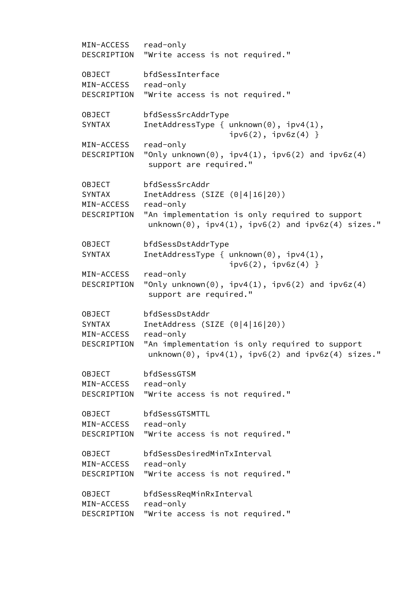MIN-ACCESS read-only DESCRIPTION "Write access is not required." OBJECT bfdSessInterface MIN-ACCESS read-only DESCRIPTION "Write access is not required." OBJECT bfdSessSrcAddrType SYNTAX InetAddressType { unknown(0), ipv4(1),  $ipv6(2)$ ,  $ipv6z(4)$  } MIN-ACCESS read-only DESCRIPTION "Only unknown(0),  $ipv4(1)$ ,  $ipv6(2)$  and  $ipv6z(4)$  support are required." OBJECT bfdSessSrcAddr SYNTAX InetAddress (SIZE (0|4|16|20)) MIN-ACCESS read-only DESCRIPTION "An implementation is only required to support  $unknown(0)$ ,  $ipv4(1)$ ,  $ipv6(2)$  and  $ipv6z(4)$  sizes." OBJECT bfdSessDstAddrType SYNTAX InetAddressType { unknown(0), ipv4(1),  $ipv6(2)$ ,  $ipv6z(4)$  } MIN-ACCESS read-only DESCRIPTION "Only unknown(0),  $ipv4(1)$ ,  $ipv6(2)$  and  $ipv6z(4)$  support are required." OBJECT bfdSessDstAddr SYNTAX InetAddress (SIZE (0|4|16|20)) MIN-ACCESS read-only DESCRIPTION "An implementation is only required to support  $unknown(0)$ ,  $ipv4(1)$ ,  $ipv6(2)$  and  $ipv6z(4)$  sizes." OBJECT bfdSessGTSM MIN-ACCESS read-only DESCRIPTION "Write access is not required." OBJECT bfdSessGTSMTTL MIN-ACCESS read-only DESCRIPTION "Write access is not required." OBJECT bfdSessDesiredMinTxInterval MIN-ACCESS read-only DESCRIPTION "Write access is not required." OBJECT bfdSessReqMinRxInterval MIN-ACCESS read-only DESCRIPTION "Write access is not required."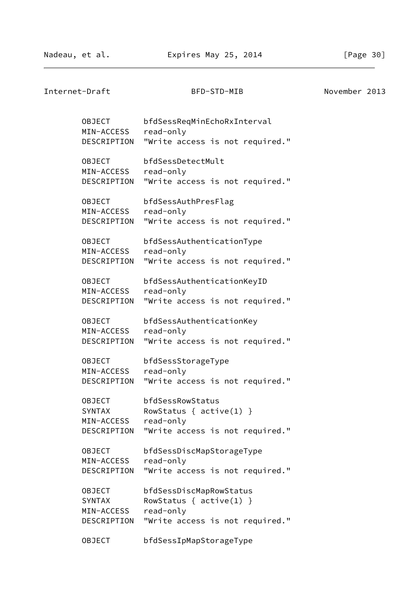Internet-Draft BFD-STD-MIB November 2013 OBJECT bfdSessReqMinEchoRxInterval MIN-ACCESS read-only DESCRIPTION "Write access is not required." OBJECT bfdSessDetectMult MIN-ACCESS read-only DESCRIPTION "Write access is not required." OBJECT bfdSessAuthPresFlag MIN-ACCESS read-only DESCRIPTION "Write access is not required." OBJECT bfdSessAuthenticationType MIN-ACCESS read-only DESCRIPTION "Write access is not required." OBJECT bfdSessAuthenticationKeyID MIN-ACCESS read-only DESCRIPTION "Write access is not required." OBJECT bfdSessAuthenticationKey MIN-ACCESS read-only DESCRIPTION "Write access is not required." OBJECT bfdSessStorageType MIN-ACCESS read-only DESCRIPTION "Write access is not required." OBJECT bfdSessRowStatus SYNTAX RowStatus { active(1) } MIN-ACCESS read-only DESCRIPTION "Write access is not required." OBJECT bfdSessDiscMapStorageType MIN-ACCESS read-only DESCRIPTION "Write access is not required." OBJECT bfdSessDiscMapRowStatus SYNTAX RowStatus { active(1) } MIN-ACCESS read-only DESCRIPTION "Write access is not required." OBJECT bfdSessIpMapStorageType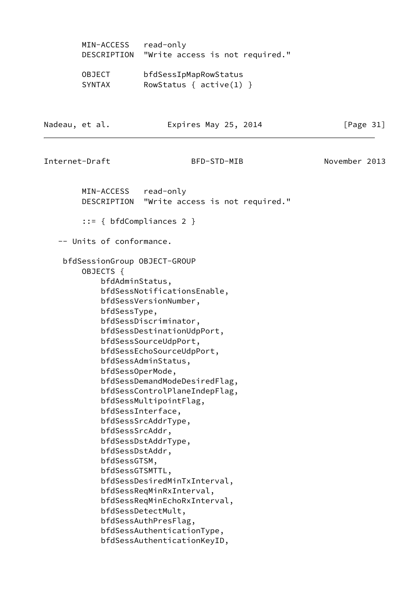| MIN-ACCESS    | read-only                       |
|---------------|---------------------------------|
| DESCRIPTION   | "Write access is not required." |
| <b>OBJECT</b> | bfdSessIpMapRowStatus           |
| <b>SYNTAX</b> | RowStatus { $active(1)$ }       |

Nadeau, et al. **Expires May 25, 2014** [Page 31]

Internet-Draft BFD-STD-MIB November 2013

 MIN-ACCESS read-only DESCRIPTION "Write access is not required." ::= { bfdCompliances 2 } -- Units of conformance. bfdSessionGroup OBJECT-GROUP OBJECTS { bfdAdminStatus, bfdSessNotificationsEnable, bfdSessVersionNumber, bfdSessType, bfdSessDiscriminator, bfdSessDestinationUdpPort, bfdSessSourceUdpPort, bfdSessEchoSourceUdpPort, bfdSessAdminStatus, bfdSessOperMode, bfdSessDemandModeDesiredFlag, bfdSessControlPlaneIndepFlag, bfdSessMultipointFlag, bfdSessInterface, bfdSessSrcAddrType, bfdSessSrcAddr, bfdSessDstAddrType, bfdSessDstAddr, bfdSessGTSM, bfdSessGTSMTTL, bfdSessDesiredMinTxInterval, bfdSessReqMinRxInterval, bfdSessReqMinEchoRxInterval, bfdSessDetectMult, bfdSessAuthPresFlag, bfdSessAuthenticationType, bfdSessAuthenticationKeyID,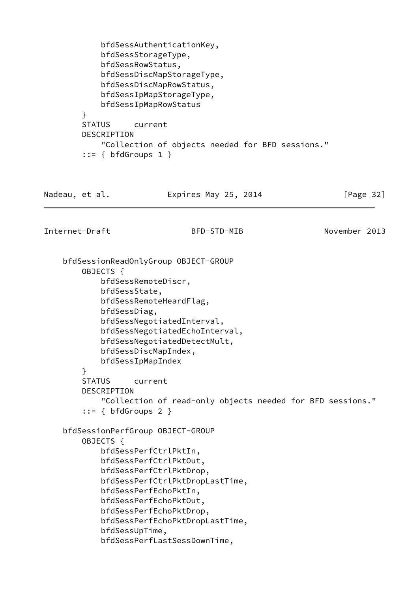```
 bfdSessAuthenticationKey,
            bfdSessStorageType,
            bfdSessRowStatus,
            bfdSessDiscMapStorageType,
            bfdSessDiscMapRowStatus,
            bfdSessIpMapStorageType,
            bfdSessIpMapRowStatus
         }
        STATUS current
        DESCRIPTION
            "Collection of objects needed for BFD sessions."
        ::= \{ bfdGroups 1 \}Nadeau, et al. Expires May 25, 2014 [Page 32]
Internet-Draft BFD-STD-MIB November 2013
    bfdSessionReadOnlyGroup OBJECT-GROUP
        OBJECTS {
            bfdSessRemoteDiscr,
            bfdSessState,
            bfdSessRemoteHeardFlag,
            bfdSessDiag,
            bfdSessNegotiatedInterval,
            bfdSessNegotiatedEchoInterval,
            bfdSessNegotiatedDetectMult,
            bfdSessDiscMapIndex,
            bfdSessIpMapIndex
         }
        STATUS current
        DESCRIPTION
            "Collection of read-only objects needed for BFD sessions."
        ::= { bfdGroups 2 } bfdSessionPerfGroup OBJECT-GROUP
        OBJECTS {
            bfdSessPerfCtrlPktIn,
            bfdSessPerfCtrlPktOut,
            bfdSessPerfCtrlPktDrop,
            bfdSessPerfCtrlPktDropLastTime,
            bfdSessPerfEchoPktIn,
            bfdSessPerfEchoPktOut,
            bfdSessPerfEchoPktDrop,
            bfdSessPerfEchoPktDropLastTime,
            bfdSessUpTime,
            bfdSessPerfLastSessDownTime,
```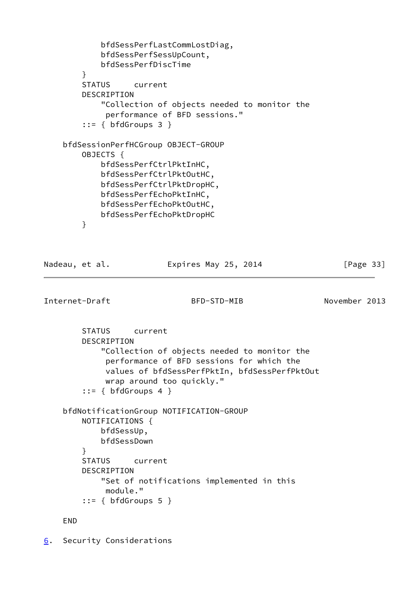```
 bfdSessPerfLastCommLostDiag,
             bfdSessPerfSessUpCount,
             bfdSessPerfDiscTime
         }
         STATUS current
         DESCRIPTION
             "Collection of objects needed to monitor the
              performance of BFD sessions."
         ::= { bfdGroups 3 }
     bfdSessionPerfHCGroup OBJECT-GROUP
         OBJECTS {
             bfdSessPerfCtrlPktInHC,
             bfdSessPerfCtrlPktOutHC,
             bfdSessPerfCtrlPktDropHC,
             bfdSessPerfEchoPktInHC,
             bfdSessPerfEchoPktOutHC,
             bfdSessPerfEchoPktDropHC
         }
Nadeau, et al. Expires May 25, 2014 [Page 33]
```

```
Internet-Draft BFD-STD-MIB November 2013
```
 STATUS current DESCRIPTION "Collection of objects needed to monitor the performance of BFD sessions for which the values of bfdSessPerfPktIn, bfdSessPerfPktOut wrap around too quickly."  $::=$  { bfdGroups 4 } bfdNotificationGroup NOTIFICATION-GROUP NOTIFICATIONS { bfdSessUp, bfdSessDown } STATUS current DESCRIPTION "Set of notifications implemented in this module."  $::=$  { bfdGroups 5 }

END

<span id="page-37-0"></span>[6](#page-37-0). Security Considerations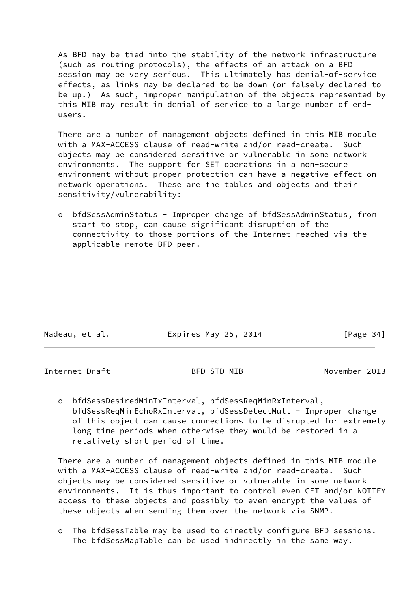As BFD may be tied into the stability of the network infrastructure (such as routing protocols), the effects of an attack on a BFD session may be very serious. This ultimately has denial-of-service effects, as links may be declared to be down (or falsely declared to be up.) As such, improper manipulation of the objects represented by this MIB may result in denial of service to a large number of end users.

 There are a number of management objects defined in this MIB module with a MAX-ACCESS clause of read-write and/or read-create. Such objects may be considered sensitive or vulnerable in some network environments. The support for SET operations in a non-secure environment without proper protection can have a negative effect on network operations. These are the tables and objects and their sensitivity/vulnerability:

 o bfdSessAdminStatus - Improper change of bfdSessAdminStatus, from start to stop, can cause significant disruption of the connectivity to those portions of the Internet reached via the applicable remote BFD peer.

| Nadeau, et al. | Expires May 25, 2014 | [Page 34] |
|----------------|----------------------|-----------|

Internet-Draft BFD-STD-MIB November 2013

 o bfdSessDesiredMinTxInterval, bfdSessReqMinRxInterval, bfdSessReqMinEchoRxInterval, bfdSessDetectMult - Improper change of this object can cause connections to be disrupted for extremely long time periods when otherwise they would be restored in a relatively short period of time.

 There are a number of management objects defined in this MIB module with a MAX-ACCESS clause of read-write and/or read-create. Such objects may be considered sensitive or vulnerable in some network environments. It is thus important to control even GET and/or NOTIFY access to these objects and possibly to even encrypt the values of these objects when sending them over the network via SNMP.

 o The bfdSessTable may be used to directly configure BFD sessions. The bfdSessMapTable can be used indirectly in the same way.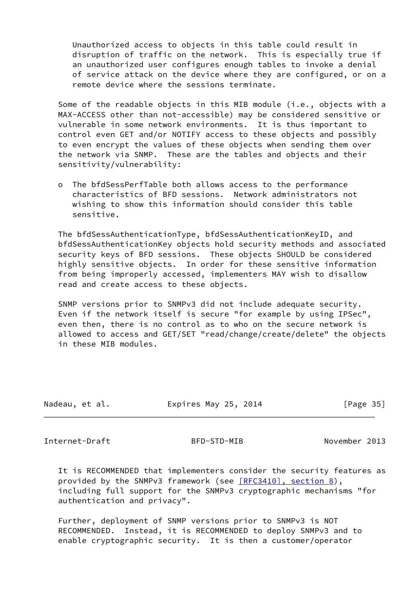Unauthorized access to objects in this table could result in disruption of traffic on the network. This is especially true if an unauthorized user configures enough tables to invoke a denial of service attack on the device where they are configured, or on a remote device where the sessions terminate.

 Some of the readable objects in this MIB module (i.e., objects with a MAX-ACCESS other than not-accessible) may be considered sensitive or vulnerable in some network environments. It is thus important to control even GET and/or NOTIFY access to these objects and possibly to even encrypt the values of these objects when sending them over the network via SNMP. These are the tables and objects and their sensitivity/vulnerability:

 o The bfdSessPerfTable both allows access to the performance characteristics of BFD sessions. Network administrators not wishing to show this information should consider this table sensitive.

 The bfdSessAuthenticationType, bfdSessAuthenticationKeyID, and bfdSessAuthenticationKey objects hold security methods and associated security keys of BFD sessions. These objects SHOULD be considered highly sensitive objects. In order for these sensitive information from being improperly accessed, implementers MAY wish to disallow read and create access to these objects.

 SNMP versions prior to SNMPv3 did not include adequate security. Even if the network itself is secure "for example by using IPSec", even then, there is no control as to who on the secure network is allowed to access and GET/SET "read/change/create/delete" the objects in these MIB modules.

| Nadeau, et al. | Expires May 25, 2014 | [Page 35] |
|----------------|----------------------|-----------|
|                |                      |           |

<span id="page-39-0"></span>Internet-Draft BFD-STD-MIB November 2013

 It is RECOMMENDED that implementers consider the security features as provided by the SNMPv3 framework (see [\[RFC3410\], section](https://datatracker.ietf.org/doc/pdf/rfc3410#section-8) 8), including full support for the SNMPv3 cryptographic mechanisms "for authentication and privacy".

 Further, deployment of SNMP versions prior to SNMPv3 is NOT RECOMMENDED. Instead, it is RECOMMENDED to deploy SNMPv3 and to enable cryptographic security. It is then a customer/operator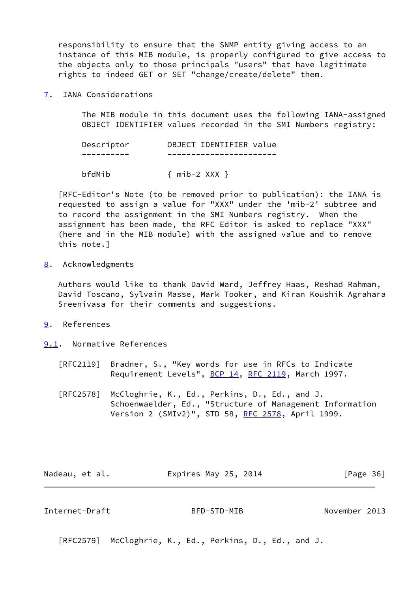responsibility to ensure that the SNMP entity giving access to an instance of this MIB module, is properly configured to give access to the objects only to those principals "users" that have legitimate rights to indeed GET or SET "change/create/delete" them.

<span id="page-40-0"></span>[7](#page-40-0). IANA Considerations

 The MIB module in this document uses the following IANA-assigned OBJECT IDENTIFIER values recorded in the SMI Numbers registry:

 Descriptor OBJECT IDENTIFIER value ---------- -----------------------

bfdMib { mib-2 XXX }

 [RFC-Editor's Note (to be removed prior to publication): the IANA is requested to assign a value for "XXX" under the 'mib-2' subtree and to record the assignment in the SMI Numbers registry. When the assignment has been made, the RFC Editor is asked to replace "XXX" (here and in the MIB module) with the assigned value and to remove this note.]

<span id="page-40-1"></span>[8](#page-40-1). Acknowledgments

 Authors would like to thank David Ward, Jeffrey Haas, Reshad Rahman, David Toscano, Sylvain Masse, Mark Tooker, and Kiran Koushik Agrahara Sreenivasa for their comments and suggestions.

- <span id="page-40-2"></span>[9](#page-40-2). References
- <span id="page-40-3"></span>[9.1](#page-40-3). Normative References
	- [RFC2119] Bradner, S., "Key words for use in RFCs to Indicate Requirement Levels", [BCP 14](https://datatracker.ietf.org/doc/pdf/bcp14), [RFC 2119](https://datatracker.ietf.org/doc/pdf/rfc2119), March 1997.
	- [RFC2578] McCloghrie, K., Ed., Perkins, D., Ed., and J. Schoenwaelder, Ed., "Structure of Management Information Version 2 (SMIv2)", STD 58, [RFC 2578,](https://datatracker.ietf.org/doc/pdf/rfc2578) April 1999.

Nadeau, et al. **Expires May 25, 2014** [Page 36]

<span id="page-40-4"></span>Internet-Draft BFD-STD-MIB November 2013

[RFC2579] McCloghrie, K., Ed., Perkins, D., Ed., and J.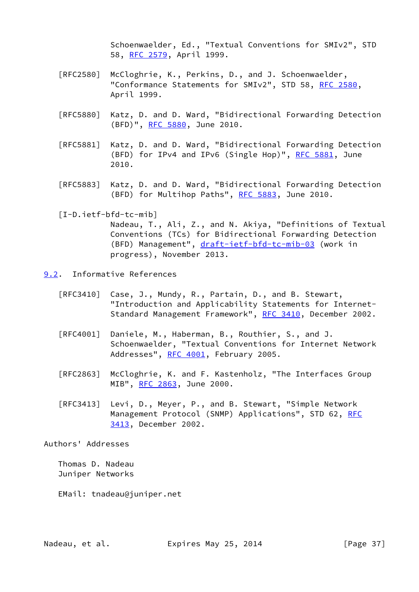Schoenwaelder, Ed., "Textual Conventions for SMIv2", STD 58, [RFC 2579,](https://datatracker.ietf.org/doc/pdf/rfc2579) April 1999.

- [RFC2580] McCloghrie, K., Perkins, D., and J. Schoenwaelder, "Conformance Statements for SMIv2", STD 58, [RFC 2580,](https://datatracker.ietf.org/doc/pdf/rfc2580) April 1999.
- [RFC5880] Katz, D. and D. Ward, "Bidirectional Forwarding Detection (BFD)", [RFC 5880,](https://datatracker.ietf.org/doc/pdf/rfc5880) June 2010.
- [RFC5881] Katz, D. and D. Ward, "Bidirectional Forwarding Detection (BFD) for IPv4 and IPv6 (Single Hop)", [RFC 5881](https://datatracker.ietf.org/doc/pdf/rfc5881), June 2010.
- [RFC5883] Katz, D. and D. Ward, "Bidirectional Forwarding Detection (BFD) for Multihop Paths", [RFC 5883](https://datatracker.ietf.org/doc/pdf/rfc5883), June 2010.

<span id="page-41-1"></span>[I-D.ietf-bfd-tc-mib]

 Nadeau, T., Ali, Z., and N. Akiya, "Definitions of Textual Conventions (TCs) for Bidirectional Forwarding Detection (BFD) Management", [draft-ietf-bfd-tc-mib-03](https://datatracker.ietf.org/doc/pdf/draft-ietf-bfd-tc-mib-03) (work in progress), November 2013.

<span id="page-41-0"></span>[9.2](#page-41-0). Informative References

- [RFC3410] Case, J., Mundy, R., Partain, D., and B. Stewart, "Introduction and Applicability Statements for Internet- Standard Management Framework", [RFC 3410,](https://datatracker.ietf.org/doc/pdf/rfc3410) December 2002.
- [RFC4001] Daniele, M., Haberman, B., Routhier, S., and J. Schoenwaelder, "Textual Conventions for Internet Network Addresses", [RFC 4001,](https://datatracker.ietf.org/doc/pdf/rfc4001) February 2005.
- [RFC2863] McCloghrie, K. and F. Kastenholz, "The Interfaces Group MIB", [RFC 2863](https://datatracker.ietf.org/doc/pdf/rfc2863), June 2000.
- [RFC3413] Levi, D., Meyer, P., and B. Stewart, "Simple Network Management Protocol (SNMP) Applications", STD 62, [RFC](https://datatracker.ietf.org/doc/pdf/rfc3413) [3413,](https://datatracker.ietf.org/doc/pdf/rfc3413) December 2002.

Authors' Addresses

 Thomas D. Nadeau Juniper Networks

EMail: tnadeau@juniper.net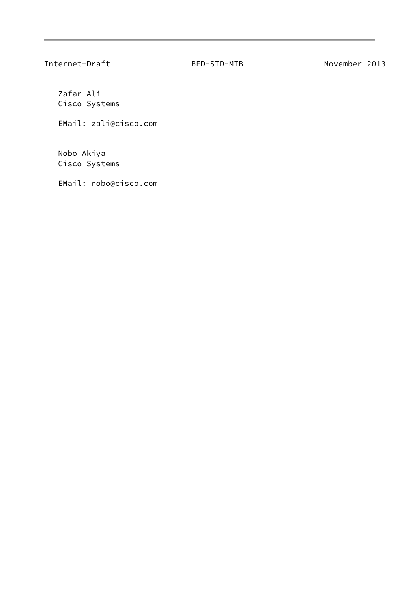Zafar Ali Cisco Systems

EMail: zali@cisco.com

 Nobo Akiya Cisco Systems

EMail: nobo@cisco.com